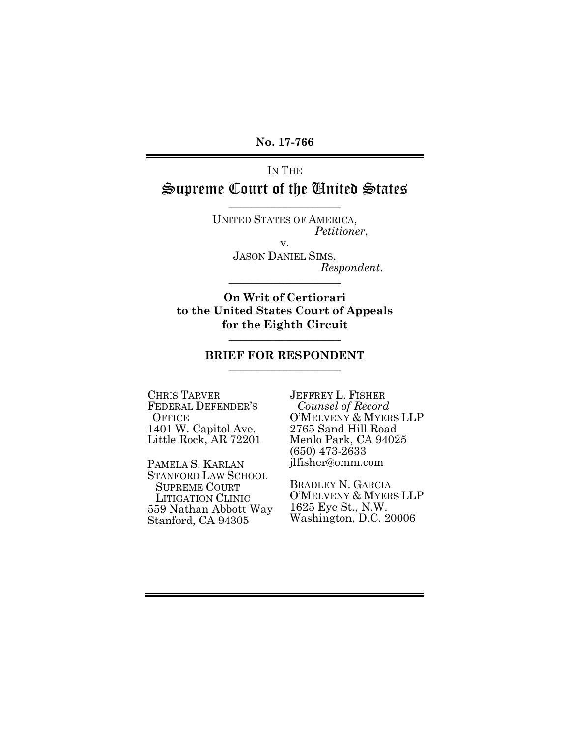**No. 17-766** 

# IN THE Supreme Court of the United States

UNITED STATES OF AMERICA, *Petitioner*, v.

\_\_\_\_\_\_\_\_\_\_\_\_\_\_\_\_\_\_\_\_

JASON DANIEL SIMS, *Respondent*. \_\_\_\_\_\_\_\_\_\_\_\_\_\_\_\_\_\_\_\_

**On Writ of Certiorari to the United States Court of Appeals for the Eighth Circuit**   $\_$ 

#### **BRIEF FOR RESPONDENT**   $\_$

CHRIS TARVER FEDERAL DEFENDER'S **OFFICE** 1401 W. Capitol Ave. Little Rock, AR 72201

PAMELA S. KARLAN STANFORD LAW SCHOOL SUPREME COURT LITIGATION CLINIC 559 Nathan Abbott Way Stanford, CA 94305

JEFFREY L. FISHER *Counsel of Record* O'MELVENY & MYERS LLP 2765 Sand Hill Road Menlo Park, CA 94025 (650) 473-2633 jlfisher@omm.com

BRADLEY N. GARCIA O'MELVENY & MYERS LLP 1625 Eye St., N.W. Washington, D.C. 20006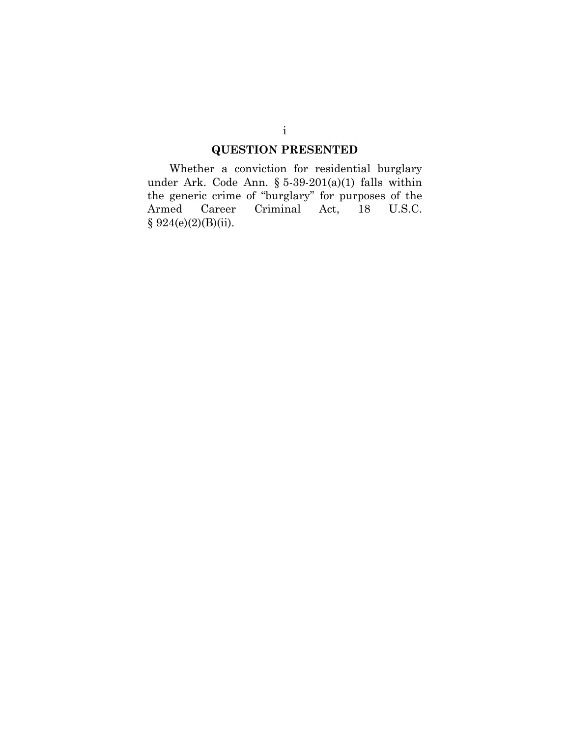## **QUESTION PRESENTED**

Whether a conviction for residential burglary under Ark. Code Ann. § 5-39-201(a)(1) falls within the generic crime of "burglary" for purposes of the Armed Career Criminal Act, 18 U.S.C.  $§ 924(e)(2)(B)(ii).$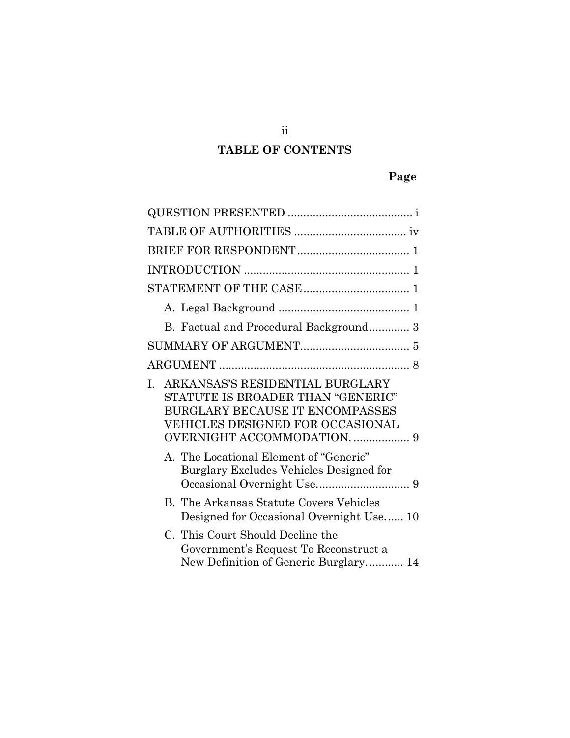# **TABLE OF CONTENTS**

# **Page**

| B. Factual and Procedural Background 3                                                                                                                                                            |
|---------------------------------------------------------------------------------------------------------------------------------------------------------------------------------------------------|
|                                                                                                                                                                                                   |
|                                                                                                                                                                                                   |
| ARKANSAS'S RESIDENTIAL BURGLARY<br>$\mathbf{L}$<br>STATUTE IS BROADER THAN "GENERIC"<br><b>BURGLARY BECAUSE IT ENCOMPASSES</b><br>VEHICLES DESIGNED FOR OCCASIONAL<br>OVERNIGHT ACCOMMODATION.  9 |
| A. The Locational Element of "Generic"<br>Burglary Excludes Vehicles Designed for                                                                                                                 |
| <b>B.</b> The Arkansas Statute Covers Vehicles<br>Designed for Occasional Overnight Use 10                                                                                                        |
| C. This Court Should Decline the<br>Government's Request To Reconstruct a<br>New Definition of Generic Burglary 14                                                                                |

ii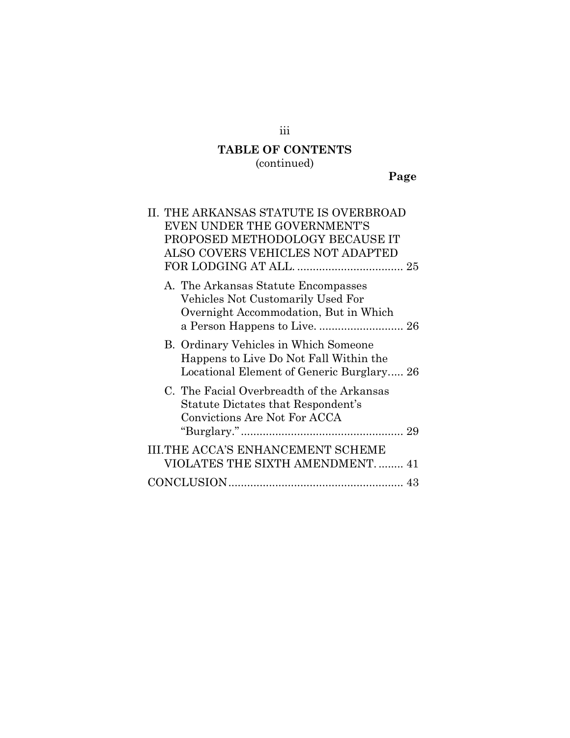# **TABLE OF CONTENTS**

(continued)

**Page**

| II. THE ARKANSAS STATUTE IS OVERBROAD<br>EVEN UNDER THE GOVERNMENT'S                                                         |
|------------------------------------------------------------------------------------------------------------------------------|
| PROPOSED METHODOLOGY BECAUSE IT<br>ALSO COVERS VEHICLES NOT ADAPTED                                                          |
| A. The Arkansas Statute Encompasses<br>Vehicles Not Customarily Used For<br>Overnight Accommodation, But in Which            |
| B. Ordinary Vehicles in Which Someone<br>Happens to Live Do Not Fall Within the<br>Locational Element of Generic Burglary 26 |
| C. The Facial Overbreadth of the Arkansas<br>Statute Dictates that Respondent's<br>Convictions Are Not For ACCA              |
| <b>III.THE ACCA'S ENHANCEMENT SCHEME</b><br>VIOLATES THE SIXTH AMENDMENT 41                                                  |
|                                                                                                                              |

iii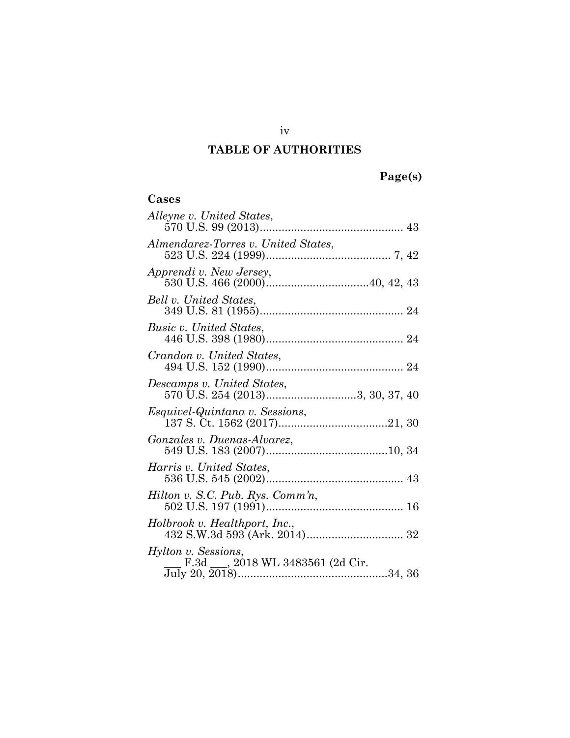# **TABLE OF AUTHORITIES**

# **Page(s)**

| Cases                                                                                      |
|--------------------------------------------------------------------------------------------|
| Alleyne v. United States,                                                                  |
| Almendarez-Torres v. United States,                                                        |
| Apprendi v. New Jersey,                                                                    |
| Bell v. United States,                                                                     |
| Busic v. United States,                                                                    |
| Crandon v. United States,                                                                  |
| Descamps v. United States,<br>.camps v. Onitea States,<br>570 U.S. 254 (2013)3, 30, 37, 40 |
| <i>Esquivel-Quintana v. Sessions,</i>                                                      |
| Gonzales v. Duenas-Alvarez,                                                                |
| Harris v. United States,                                                                   |
| Hilton v. S.C. Pub. Rys. Comm'n,                                                           |
| Holbrook v. Healthport, Inc.,                                                              |
| Hylton v. Sessions,<br>F.3d ___, 2018 WL 3483561 (2d Cir.                                  |

iv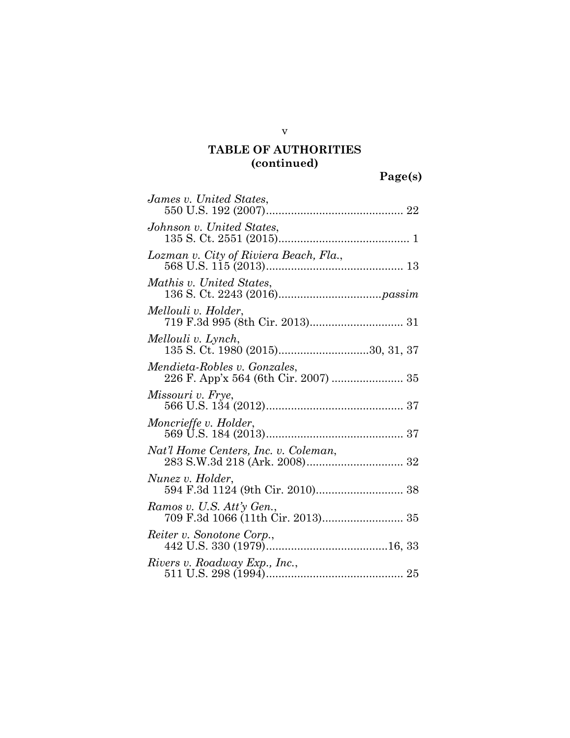**Page(s)** 

| James v. United States,                                                                                     |
|-------------------------------------------------------------------------------------------------------------|
| Johnson v. United States,                                                                                   |
| Lozman v. City of Riviera Beach, Fla.,                                                                      |
| Mathis v. United States,                                                                                    |
| Mellouli v. Holder,                                                                                         |
| Mellouli v. Lynch,<br>135 S. Ct. 1980 (2015)30, 31, 37                                                      |
| Mendieta-Robles v. Gonzales,<br>226 F. App'x 564 (6th Cir. 2007)  35                                        |
| Missouri v. Frye,                                                                                           |
| Moncrieffe v. Holder,                                                                                       |
| Nat'l Home Centers, Inc. v. Coleman,<br>t t Home Centers, Inc. v. Coleman,<br>283 S.W.3d 218 (Ark. 2008) 32 |
| Nunez v. Holder,                                                                                            |
| Ramos v. U.S. Att'y Gen.,<br>709 F.3d 1066 (11th Ćir. 2013) 35                                              |
| Reiter v. Sonotone Corp.,                                                                                   |
| Rivers v. Roadway Exp., Inc.,                                                                               |

v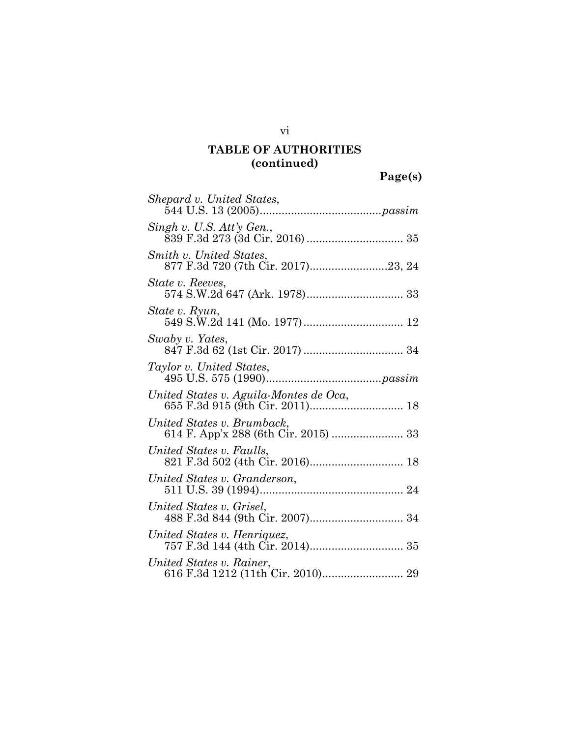**Page(s)** 

| Shepard v. United States,                                                 |
|---------------------------------------------------------------------------|
| $Singh$ v. U.S. $Att\gamma$ Gen.,                                         |
| Smith v. United States.                                                   |
| State v. Reeves,                                                          |
| State v. Ryun,                                                            |
| Swaby v. Yates,                                                           |
| Taylor v. United States,                                                  |
| United States v. Aguila-Montes de Oca,<br>655 F.3d 915 (9th Cir. 2011) 18 |
| United States v. Brumback,                                                |
| United States v. Faulls,                                                  |
| United States v. Granderson,                                              |
| United States v. Grisel,                                                  |
| United States v. Henriquez,                                               |
| United States v. Rainer,                                                  |

vi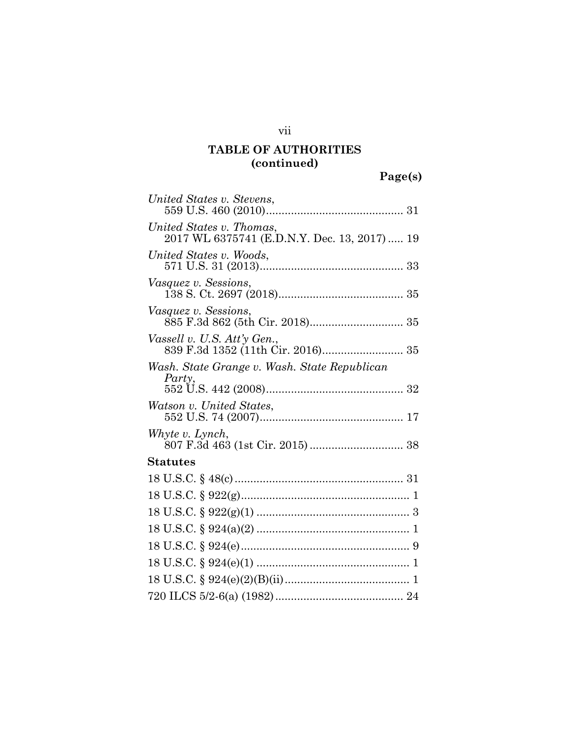**Page(s)** 

| United States v. Stevens,                                                |
|--------------------------------------------------------------------------|
| United States v. Thomas,<br>2017 WL 6375741 (E.D.N.Y. Dec. 13, 2017)  19 |
| United States v. Woods,                                                  |
| <i>Vasquez v. Sessions,</i>                                              |
| <i>Vasquez v. Sessions,</i>                                              |
| Vassell v. U.S. Att'y Gen.,                                              |
| Wash. State Grange v. Wash. State Republican<br>Party,                   |
| Watson v. United States,                                                 |
| Whyte v. Lynch,                                                          |
| Statutes                                                                 |
|                                                                          |
|                                                                          |
|                                                                          |
|                                                                          |
|                                                                          |
|                                                                          |
|                                                                          |
|                                                                          |

vii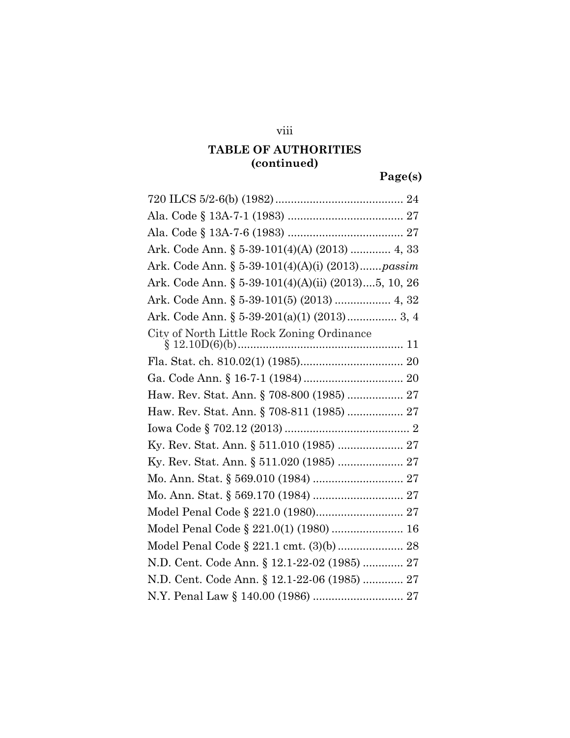## viii

# **TABLE OF AUTHORITIES (continued)**

**Page(s)** 

| Ark. Code Ann. § 5-39-101(4)(A) (2013)  4, 33       |
|-----------------------------------------------------|
| Ark. Code Ann. § 5-39-101(4)(A)(i) (2013)passim     |
| Ark. Code Ann. § 5-39-101(4)(A)(ii) (2013)5, 10, 26 |
| Ark. Code Ann. § 5-39-101(5) (2013)  4, 32          |
| Ark. Code Ann. § 5-39-201(a)(1) (2013) 3, 4         |
| City of North Little Rock Zoning Ordinance          |
|                                                     |
|                                                     |
| Haw. Rev. Stat. Ann. § 708-800 (1985)  27           |
| Haw. Rev. Stat. Ann. § 708-811 (1985)  27           |
|                                                     |
| Ky. Rev. Stat. Ann. § 511.010 (1985)  27            |
|                                                     |
|                                                     |
|                                                     |
| Model Penal Code § 221.0 (1980) 27                  |
| Model Penal Code § 221.0(1) (1980)  16              |
| Model Penal Code § 221.1 cmt. (3)(b) 28             |
| N.D. Cent. Code Ann. § 12.1-22-02 (1985)  27        |
| N.D. Cent. Code Ann. § 12.1-22-06 (1985)  27        |
|                                                     |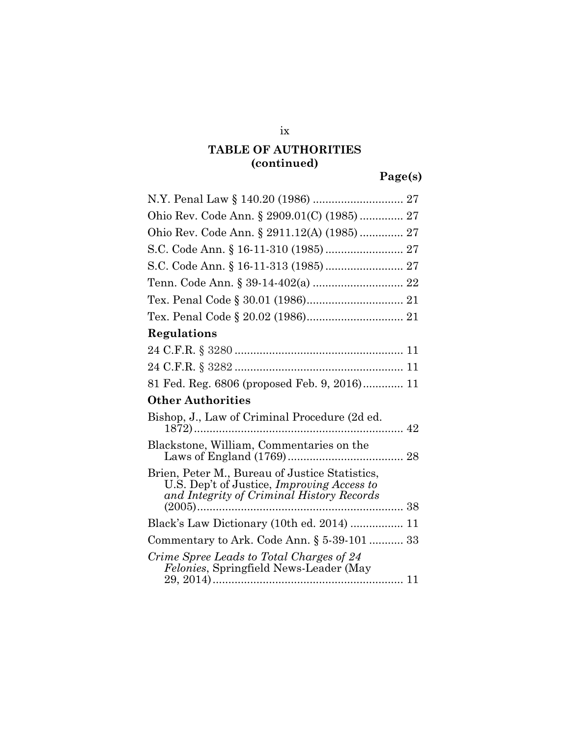**Page(s)** 

| Ohio Rev. Code Ann. § 2909.01(C) (1985)  27                                                                                               |
|-------------------------------------------------------------------------------------------------------------------------------------------|
| Ohio Rev. Code Ann. § 2911.12(A) (1985)  27                                                                                               |
| S.C. Code Ann. § 16-11-310 (1985)  27                                                                                                     |
|                                                                                                                                           |
|                                                                                                                                           |
|                                                                                                                                           |
|                                                                                                                                           |
| Regulations                                                                                                                               |
|                                                                                                                                           |
|                                                                                                                                           |
| 81 Fed. Reg. 6806 (proposed Feb. 9, 2016) 11                                                                                              |
| <b>Other Authorities</b>                                                                                                                  |
| Bishop, J., Law of Criminal Procedure (2d ed.<br>42                                                                                       |
| Blackstone, William, Commentaries on the                                                                                                  |
| Brien, Peter M., Bureau of Justice Statistics,<br>U.S. Dep't of Justice, Improving Access to<br>and Integrity of Criminal History Records |
| Black's Law Dictionary (10th ed. 2014)  11                                                                                                |
| Commentary to Ark. Code Ann. § 5-39-101  33                                                                                               |
|                                                                                                                                           |
|                                                                                                                                           |
| Crime Spree Leads to Total Charges of 24<br><i>Felonies</i> , Springfield News-Leader (May                                                |

ix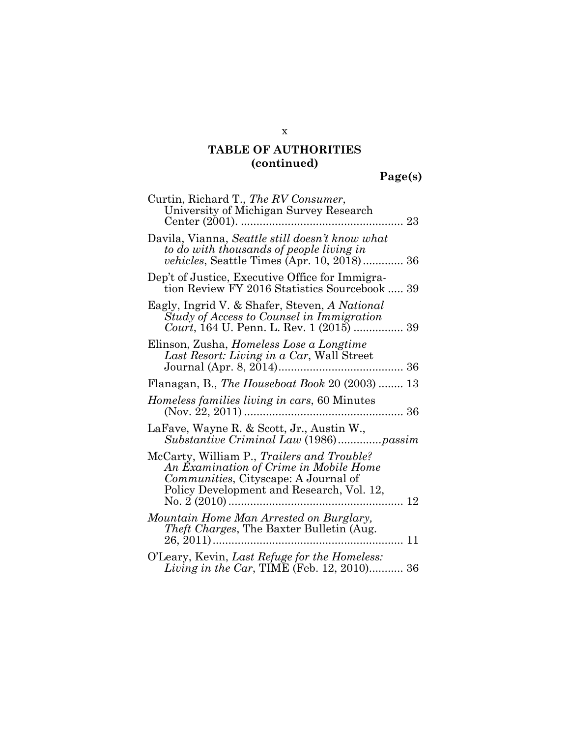**Page(s)** 

| Curtin, Richard T., The RV Consumer,<br>University of Michigan Survey Research                                                                                                  |
|---------------------------------------------------------------------------------------------------------------------------------------------------------------------------------|
| Davila, Vianna, Seattle still doesn't know what<br>to do with thousands of people living in<br>vehicles, Seattle Times (Apr. 10, 2018) 36                                       |
| Dep't of Justice, Executive Office for Immigra-<br>tion Review FY 2016 Statistics Sourcebook  39                                                                                |
| Eagly, Ingrid V. & Shafer, Steven, A National<br>Study of Access to Counsel in Immigration<br>Court, 164 U. Penn. L. Rev. 1 (2015)  39                                          |
| Elinson, Zusha, <i>Homeless Lose a Longtime</i><br>Last Resort: Living in a Car, Wall Street                                                                                    |
| Flanagan, B., The Houseboat Book 20 (2003)  13                                                                                                                                  |
| Homeless families living in cars, 60 Minutes                                                                                                                                    |
| LaFave, Wayne R. & Scott, Jr., Austin W.,<br>Substantive Criminal Law (1986)passim                                                                                              |
| McCarty, William P., Trailers and Trouble?<br>An Examination of Crime in Mobile Home<br>Communities, Cityscape: A Journal of<br>Policy Development and Research, Vol. 12,<br>12 |
| Mountain Home Man Arrested on Burglary,<br>Theft Charges, The Baxter Bulletin (Aug.<br>. 11                                                                                     |
| O'Leary, Kevin, Last Refuge for the Homeless:<br><i>Living in the Car</i> , TIME (Feb. 12, 2010) 36                                                                             |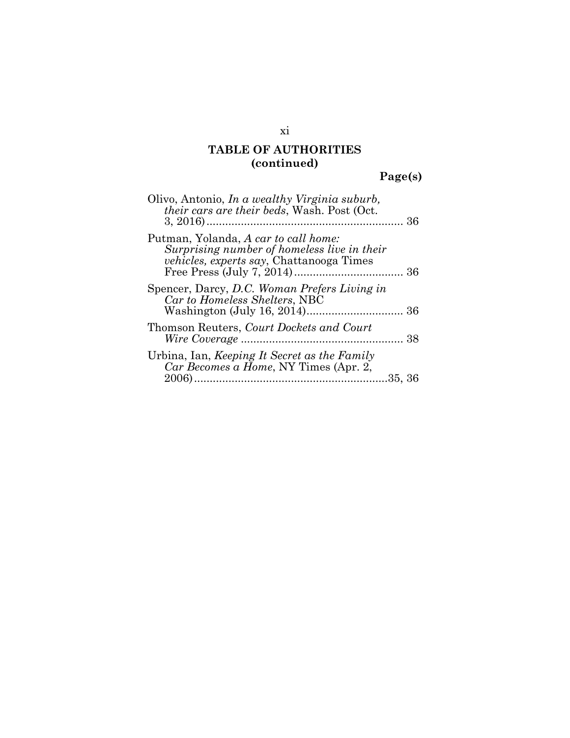**Page(s)** 

| Olivo, Antonio, In a wealthy Virginia suburb,<br><i>their cars are their beds, Wash. Post (Oct.</i>                                    |  |
|----------------------------------------------------------------------------------------------------------------------------------------|--|
| Putman, Yolanda, A car to call home:<br>Surprising number of homeless live in their<br><i>vehicles, experts say, Chattanooga Times</i> |  |
| Spencer, Darcy, D.C. Woman Prefers Living in<br>Car to Homeless Shelters, NBC                                                          |  |
| Thomson Reuters, Court Dockets and Court                                                                                               |  |
| Urbina, Ian, Keeping It Secret as the Family<br>Car Becomes a Home, NY Times (Apr. 2,                                                  |  |

xi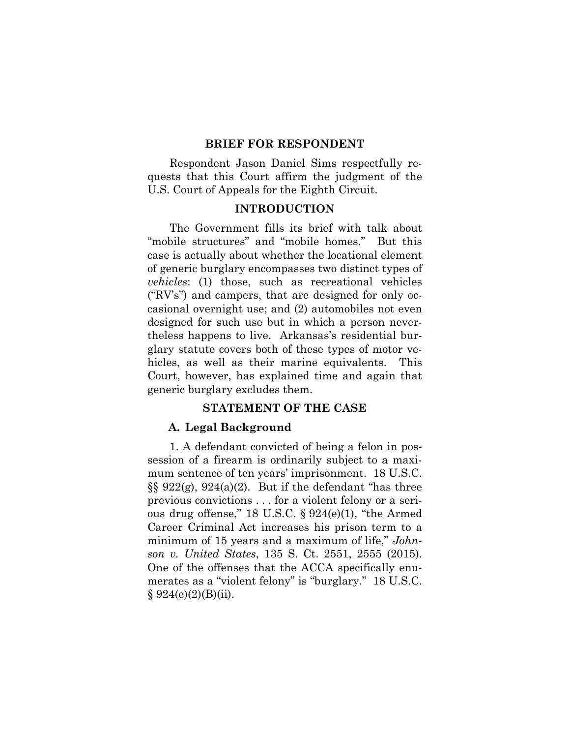#### **BRIEF FOR RESPONDENT**

Respondent Jason Daniel Sims respectfully requests that this Court affirm the judgment of the U.S. Court of Appeals for the Eighth Circuit.

#### **INTRODUCTION**

The Government fills its brief with talk about "mobile structures" and "mobile homes." But this case is actually about whether the locational element of generic burglary encompasses two distinct types of *vehicles*: (1) those, such as recreational vehicles ("RV's") and campers, that are designed for only occasional overnight use; and (2) automobiles not even designed for such use but in which a person nevertheless happens to live. Arkansas's residential burglary statute covers both of these types of motor vehicles, as well as their marine equivalents. This Court, however, has explained time and again that generic burglary excludes them.

#### **STATEMENT OF THE CASE**

#### **A. Legal Background**

1. A defendant convicted of being a felon in possession of a firearm is ordinarily subject to a maximum sentence of ten years' imprisonment. 18 U.S.C.  $\S\S 922(g)$ ,  $924(a)(2)$ . But if the defendant "has three previous convictions . . . for a violent felony or a serious drug offense," 18 U.S.C. § 924(e)(1), "the Armed Career Criminal Act increases his prison term to a minimum of 15 years and a maximum of life," *Johnson v. United States*, 135 S. Ct. 2551, 2555 (2015). One of the offenses that the ACCA specifically enumerates as a "violent felony" is "burglary." 18 U.S.C.  $§ 924(e)(2)(B)(ii).$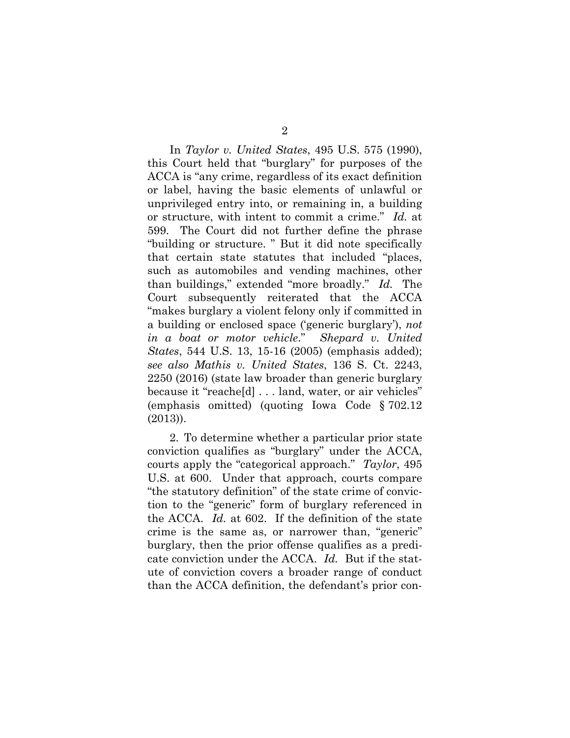In *Taylor v. United States*, 495 U.S. 575 (1990), this Court held that "burglary" for purposes of the ACCA is "any crime, regardless of its exact definition or label, having the basic elements of unlawful or unprivileged entry into, or remaining in, a building or structure, with intent to commit a crime." *Id.* at 599. The Court did not further define the phrase "building or structure. " But it did note specifically that certain state statutes that included "places, such as automobiles and vending machines, other than buildings," extended "more broadly." *Id.* The Court subsequently reiterated that the ACCA "makes burglary a violent felony only if committed in a building or enclosed space ('generic burglary'), *not in a boat or motor vehicle*." *Shepard v. United States*, 544 U.S. 13, 15-16 (2005) (emphasis added); *see also Mathis v. United States*, 136 S. Ct. 2243, 2250 (2016) (state law broader than generic burglary because it "reache[d] . . . land, water, or air vehicles" (emphasis omitted) (quoting Iowa Code § 702.12 (2013)).

2. To determine whether a particular prior state conviction qualifies as "burglary" under the ACCA, courts apply the "categorical approach." *Taylor*, 495 U.S. at 600. Under that approach, courts compare "the statutory definition" of the state crime of conviction to the "generic" form of burglary referenced in the ACCA. *Id.* at 602. If the definition of the state crime is the same as, or narrower than, "generic" burglary, then the prior offense qualifies as a predicate conviction under the ACCA. *Id.* But if the statute of conviction covers a broader range of conduct than the ACCA definition, the defendant's prior con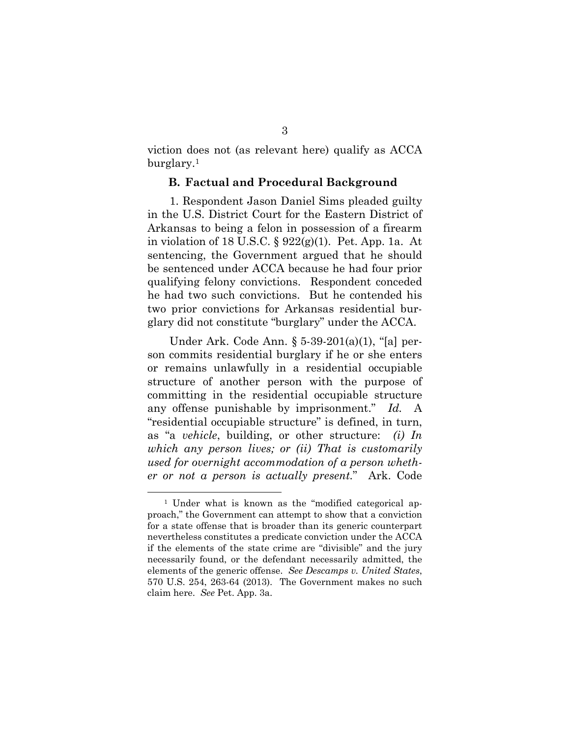viction does not (as relevant here) qualify as ACCA burglary.1

#### **B. Factual and Procedural Background**

1. Respondent Jason Daniel Sims pleaded guilty in the U.S. District Court for the Eastern District of Arkansas to being a felon in possession of a firearm in violation of 18 U.S.C. § 922(g)(1). Pet. App. 1a. At sentencing, the Government argued that he should be sentenced under ACCA because he had four prior qualifying felony convictions. Respondent conceded he had two such convictions. But he contended his two prior convictions for Arkansas residential burglary did not constitute "burglary" under the ACCA.

Under Ark. Code Ann. § 5-39-201(a)(1), "[a] person commits residential burglary if he or she enters or remains unlawfully in a residential occupiable structure of another person with the purpose of committing in the residential occupiable structure any offense punishable by imprisonment." *Id.* A "residential occupiable structure" is defined, in turn, as "a *vehicle*, building, or other structure: *(i) In which any person lives; or (ii) That is customarily used for overnight accommodation of a person whether or not a person is actually present.*" Ark. Code

 <sup>1</sup> Under what is known as the "modified categorical approach," the Government can attempt to show that a conviction for a state offense that is broader than its generic counterpart nevertheless constitutes a predicate conviction under the ACCA if the elements of the state crime are "divisible" and the jury necessarily found, or the defendant necessarily admitted, the elements of the generic offense. *See Descamps v. United States*, 570 U.S. 254, 263-64 (2013). The Government makes no such claim here. *See* Pet. App. 3a.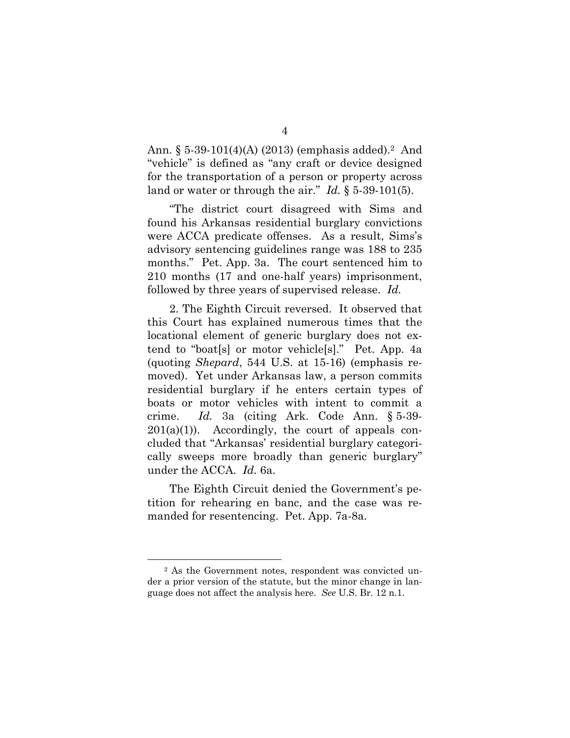Ann. § 5-39-101(4)(A) (2013) (emphasis added).2 And "vehicle" is defined as "any craft or device designed for the transportation of a person or property across land or water or through the air." *Id.* § 5-39-101(5).

"The district court disagreed with Sims and found his Arkansas residential burglary convictions were ACCA predicate offenses. As a result, Sims's advisory sentencing guidelines range was 188 to 235 months." Pet. App. 3a. The court sentenced him to 210 months (17 and one-half years) imprisonment, followed by three years of supervised release. *Id.* 

2. The Eighth Circuit reversed. It observed that this Court has explained numerous times that the locational element of generic burglary does not extend to "boat[s] or motor vehicle[s]." Pet. App. 4a (quoting *Shepard*, 544 U.S. at 15-16) (emphasis removed). Yet under Arkansas law, a person commits residential burglary if he enters certain types of boats or motor vehicles with intent to commit a crime. *Id.* 3a (citing Ark. Code Ann. § 5-39-  $201(a)(1)$ . Accordingly, the court of appeals concluded that "Arkansas' residential burglary categorically sweeps more broadly than generic burglary" under the ACCA. *Id.* 6a.

The Eighth Circuit denied the Government's petition for rehearing en banc, and the case was remanded for resentencing. Pet. App. 7a-8a.

 <sup>2</sup> As the Government notes, respondent was convicted under a prior version of the statute, but the minor change in language does not affect the analysis here. *See* U.S. Br. 12 n.1.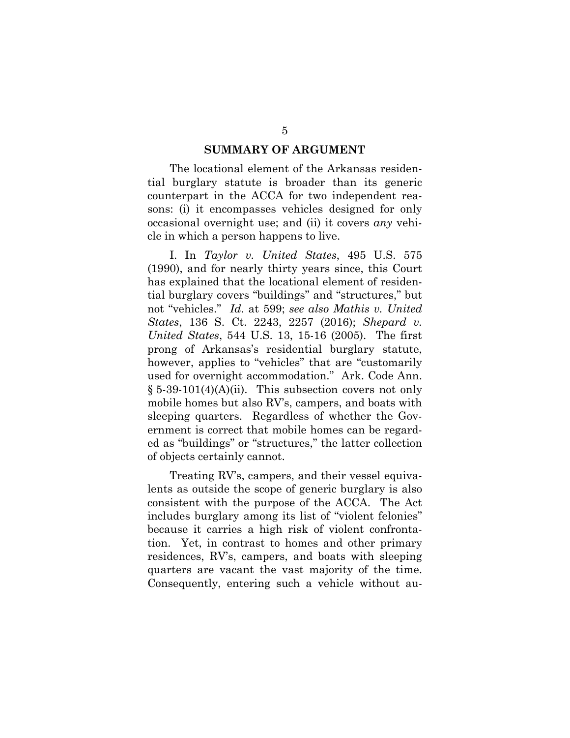#### **SUMMARY OF ARGUMENT**

The locational element of the Arkansas residential burglary statute is broader than its generic counterpart in the ACCA for two independent reasons: (i) it encompasses vehicles designed for only occasional overnight use; and (ii) it covers *any* vehicle in which a person happens to live.

I. In *Taylor v. United States*, 495 U.S. 575 (1990), and for nearly thirty years since, this Court has explained that the locational element of residential burglary covers "buildings" and "structures," but not "vehicles." *Id.* at 599; *see also Mathis v. United States*, 136 S. Ct. 2243, 2257 (2016); *Shepard v. United States*, 544 U.S. 13, 15-16 (2005). The first prong of Arkansas's residential burglary statute, however, applies to "vehicles" that are "customarily used for overnight accommodation." Ark. Code Ann.  $\S 5-39-101(4)$ (A)(ii). This subsection covers not only mobile homes but also RV's, campers, and boats with sleeping quarters. Regardless of whether the Government is correct that mobile homes can be regarded as "buildings" or "structures," the latter collection of objects certainly cannot.

Treating RV's, campers, and their vessel equivalents as outside the scope of generic burglary is also consistent with the purpose of the ACCA. The Act includes burglary among its list of "violent felonies" because it carries a high risk of violent confrontation. Yet, in contrast to homes and other primary residences, RV's, campers, and boats with sleeping quarters are vacant the vast majority of the time. Consequently, entering such a vehicle without au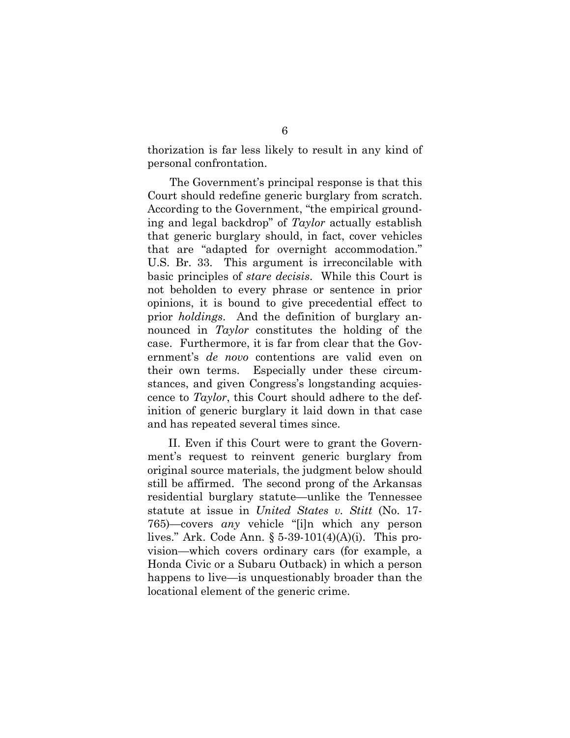thorization is far less likely to result in any kind of personal confrontation.

The Government's principal response is that this Court should redefine generic burglary from scratch. According to the Government, "the empirical grounding and legal backdrop" of *Taylor* actually establish that generic burglary should, in fact, cover vehicles that are "adapted for overnight accommodation." U.S. Br. 33. This argument is irreconcilable with basic principles of *stare decisis*. While this Court is not beholden to every phrase or sentence in prior opinions, it is bound to give precedential effect to prior *holdings*. And the definition of burglary announced in *Taylor* constitutes the holding of the case. Furthermore, it is far from clear that the Government's *de novo* contentions are valid even on their own terms. Especially under these circumstances, and given Congress's longstanding acquiescence to *Taylor*, this Court should adhere to the definition of generic burglary it laid down in that case and has repeated several times since.

II. Even if this Court were to grant the Government's request to reinvent generic burglary from original source materials, the judgment below should still be affirmed. The second prong of the Arkansas residential burglary statute—unlike the Tennessee statute at issue in *United States v. Stitt* (No. 17- 765)—covers *any* vehicle "[i]n which any person lives." Ark. Code Ann. § 5-39-101(4)(A)(i). This provision—which covers ordinary cars (for example, a Honda Civic or a Subaru Outback) in which a person happens to live—is unquestionably broader than the locational element of the generic crime.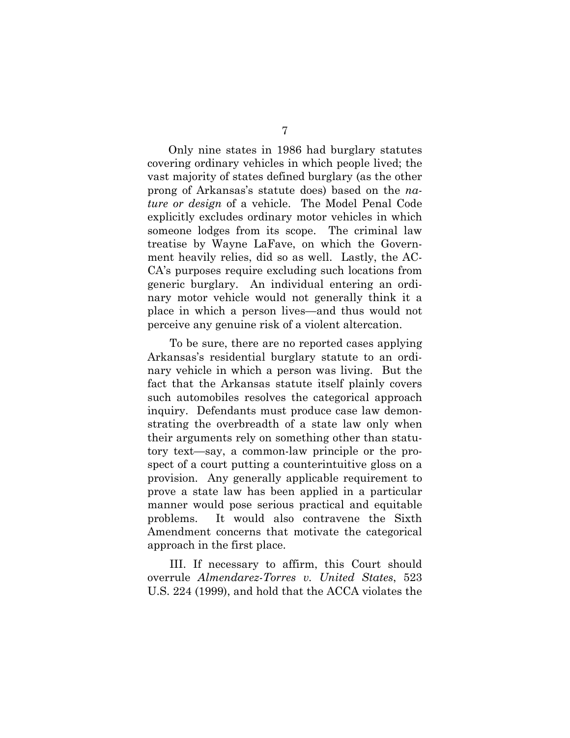Only nine states in 1986 had burglary statutes covering ordinary vehicles in which people lived; the vast majority of states defined burglary (as the other prong of Arkansas's statute does) based on the *nature or design* of a vehicle. The Model Penal Code explicitly excludes ordinary motor vehicles in which someone lodges from its scope. The criminal law treatise by Wayne LaFave, on which the Government heavily relies, did so as well. Lastly, the AC-CA's purposes require excluding such locations from generic burglary. An individual entering an ordinary motor vehicle would not generally think it a place in which a person lives—and thus would not perceive any genuine risk of a violent altercation.

To be sure, there are no reported cases applying Arkansas's residential burglary statute to an ordinary vehicle in which a person was living. But the fact that the Arkansas statute itself plainly covers such automobiles resolves the categorical approach inquiry. Defendants must produce case law demonstrating the overbreadth of a state law only when their arguments rely on something other than statutory text—say, a common-law principle or the prospect of a court putting a counterintuitive gloss on a provision. Any generally applicable requirement to prove a state law has been applied in a particular manner would pose serious practical and equitable problems. It would also contravene the Sixth Amendment concerns that motivate the categorical approach in the first place.

III. If necessary to affirm, this Court should overrule *Almendarez-Torres v. United States*, 523 U.S. 224 (1999), and hold that the ACCA violates the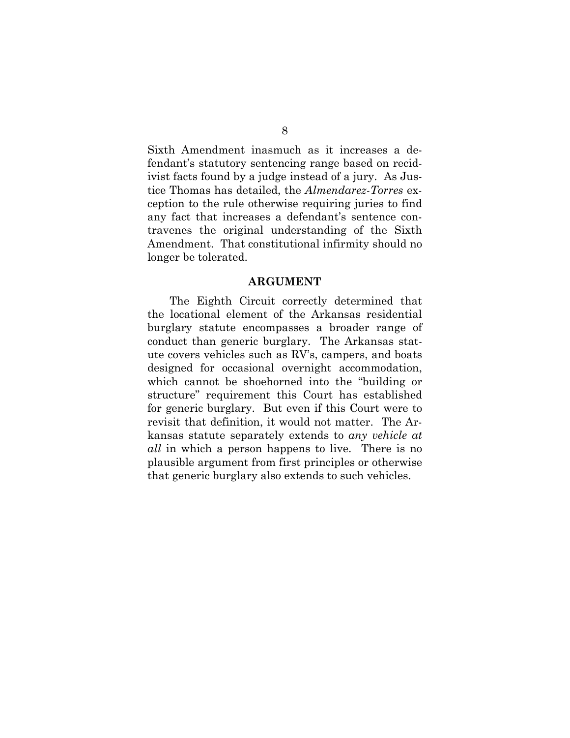Sixth Amendment inasmuch as it increases a defendant's statutory sentencing range based on recidivist facts found by a judge instead of a jury. As Justice Thomas has detailed, the *Almendarez-Torres* exception to the rule otherwise requiring juries to find any fact that increases a defendant's sentence contravenes the original understanding of the Sixth Amendment. That constitutional infirmity should no longer be tolerated.

#### **ARGUMENT**

The Eighth Circuit correctly determined that the locational element of the Arkansas residential burglary statute encompasses a broader range of conduct than generic burglary. The Arkansas statute covers vehicles such as RV's, campers, and boats designed for occasional overnight accommodation, which cannot be shoehorned into the "building or structure" requirement this Court has established for generic burglary. But even if this Court were to revisit that definition, it would not matter. The Arkansas statute separately extends to *any vehicle at all* in which a person happens to live. There is no plausible argument from first principles or otherwise that generic burglary also extends to such vehicles.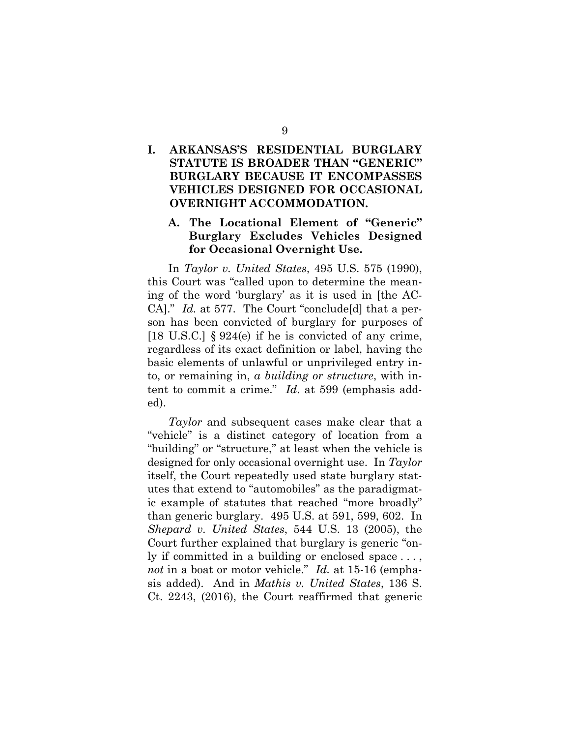## **I. ARKANSAS'S RESIDENTIAL BURGLARY STATUTE IS BROADER THAN "GENERIC" BURGLARY BECAUSE IT ENCOMPASSES VEHICLES DESIGNED FOR OCCASIONAL OVERNIGHT ACCOMMODATION.**

### **A. The Locational Element of "Generic" Burglary Excludes Vehicles Designed for Occasional Overnight Use.**

In *Taylor v. United States*, 495 U.S. 575 (1990), this Court was "called upon to determine the meaning of the word 'burglary' as it is used in [the AC-CA]." *Id.* at 577. The Court "conclude[d] that a person has been convicted of burglary for purposes of [18 U.S.C.]  $\S 924(e)$  if he is convicted of any crime, regardless of its exact definition or label, having the basic elements of unlawful or unprivileged entry into, or remaining in, *a building or structure*, with intent to commit a crime." *Id*. at 599 (emphasis added).

*Taylor* and subsequent cases make clear that a "vehicle" is a distinct category of location from a "building" or "structure," at least when the vehicle is designed for only occasional overnight use. In *Taylor* itself, the Court repeatedly used state burglary statutes that extend to "automobiles" as the paradigmatic example of statutes that reached "more broadly" than generic burglary. 495 U.S. at 591, 599, 602. In *Shepard v. United States*, 544 U.S. 13 (2005), the Court further explained that burglary is generic "only if committed in a building or enclosed space . . . , *not* in a boat or motor vehicle." *Id.* at 15-16 (emphasis added). And in *Mathis v. United States*, 136 S. Ct. 2243, (2016), the Court reaffirmed that generic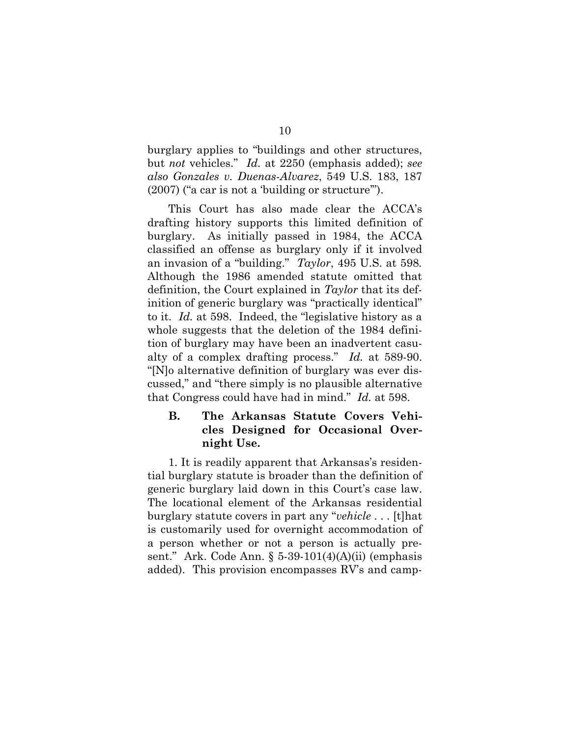burglary applies to "buildings and other structures, but *not* vehicles." *Id.* at 2250 (emphasis added); *see also Gonzales v. Duenas-Alvarez*, 549 U.S. 183, 187 (2007) ("a car is not a 'building or structure'").

This Court has also made clear the ACCA's drafting history supports this limited definition of burglary. As initially passed in 1984, the ACCA classified an offense as burglary only if it involved an invasion of a "building." *Taylor*, 495 U.S. at 598*.* Although the 1986 amended statute omitted that definition, the Court explained in *Taylor* that its definition of generic burglary was "practically identical" to it. *Id.* at 598. Indeed, the "legislative history as a whole suggests that the deletion of the 1984 definition of burglary may have been an inadvertent casualty of a complex drafting process." *Id.* at 589-90. "[N]o alternative definition of burglary was ever discussed," and "there simply is no plausible alternative that Congress could have had in mind." *Id.* at 598.

### **B. The Arkansas Statute Covers Vehicles Designed for Occasional Overnight Use.**

1. It is readily apparent that Arkansas's residential burglary statute is broader than the definition of generic burglary laid down in this Court's case law. The locational element of the Arkansas residential burglary statute covers in part any "*vehicle* . . . [t]hat is customarily used for overnight accommodation of a person whether or not a person is actually present." Ark. Code Ann.  $\S$  5-39-101(4)(A)(ii) (emphasis added). This provision encompasses RV's and camp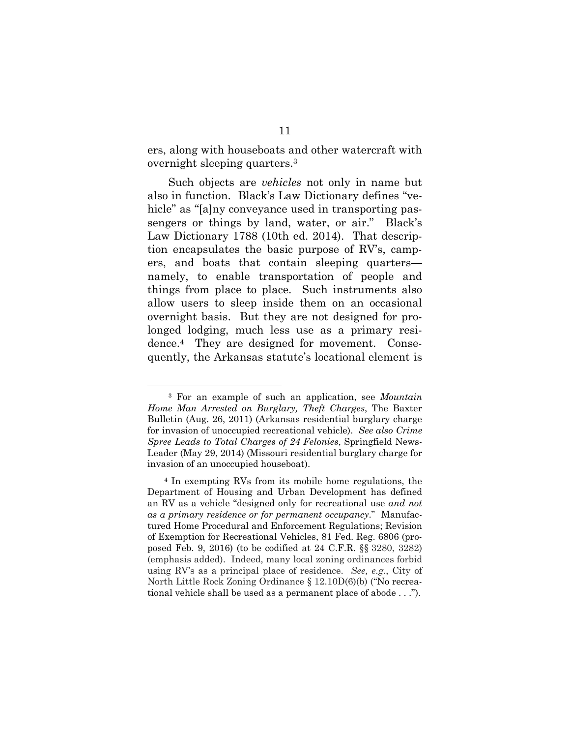ers, along with houseboats and other watercraft with overnight sleeping quarters.3

Such objects are *vehicles* not only in name but also in function. Black's Law Dictionary defines "vehicle" as "[a]ny conveyance used in transporting passengers or things by land, water, or air." Black's Law Dictionary 1788 (10th ed. 2014). That description encapsulates the basic purpose of RV's, campers, and boats that contain sleeping quarters namely, to enable transportation of people and things from place to place. Such instruments also allow users to sleep inside them on an occasional overnight basis. But they are not designed for prolonged lodging, much less use as a primary residence.4 They are designed for movement. Consequently, the Arkansas statute's locational element is

 <sup>3</sup> For an example of such an application, see *Mountain Home Man Arrested on Burglary, Theft Charges*, The Baxter Bulletin (Aug. 26, 2011) (Arkansas residential burglary charge for invasion of unoccupied recreational vehicle). *See also Crime Spree Leads to Total Charges of 24 Felonies*, Springfield News-Leader (May 29, 2014) (Missouri residential burglary charge for invasion of an unoccupied houseboat).

<sup>4</sup> In exempting RVs from its mobile home regulations, the Department of Housing and Urban Development has defined an RV as a vehicle "designed only for recreational use *and not as a primary residence or for permanent occupancy*." Manufactured Home Procedural and Enforcement Regulations; Revision of Exemption for Recreational Vehicles, 81 Fed. Reg. 6806 (proposed Feb. 9, 2016) (to be codified at 24 C.F.R. §§ 3280, 3282) (emphasis added). Indeed, many local zoning ordinances forbid using RV's as a principal place of residence. *See, e.g.*, City of North Little Rock Zoning Ordinance § 12.10D(6)(b) ("No recreational vehicle shall be used as a permanent place of abode . . .").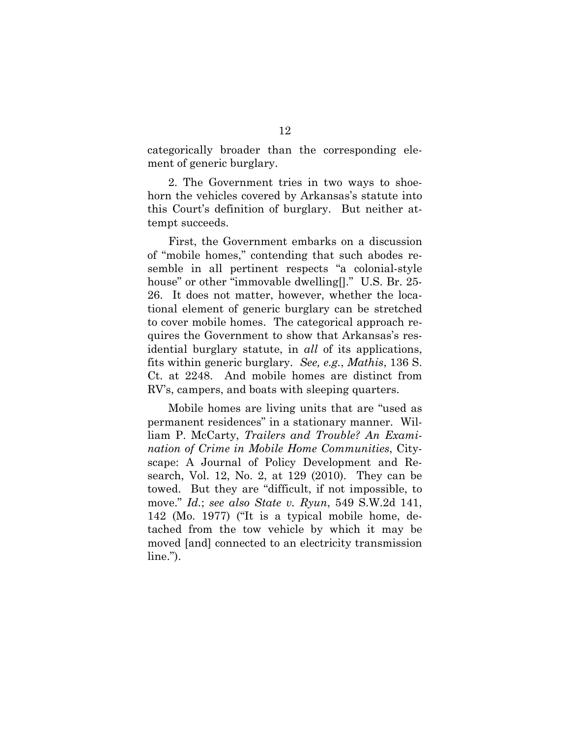categorically broader than the corresponding element of generic burglary.

2. The Government tries in two ways to shoehorn the vehicles covered by Arkansas's statute into this Court's definition of burglary. But neither attempt succeeds.

First, the Government embarks on a discussion of "mobile homes," contending that such abodes resemble in all pertinent respects "a colonial-style house" or other "immovable dwelling[]." U.S. Br. 25-26. It does not matter, however, whether the locational element of generic burglary can be stretched to cover mobile homes. The categorical approach requires the Government to show that Arkansas's residential burglary statute, in *all* of its applications, fits within generic burglary. *See, e.g.*, *Mathis*, 136 S. Ct. at 2248. And mobile homes are distinct from RV's, campers, and boats with sleeping quarters.

Mobile homes are living units that are "used as permanent residences" in a stationary manner. William P. McCarty, *Trailers and Trouble? An Examination of Crime in Mobile Home Communities*, Cityscape: A Journal of Policy Development and Research, Vol. 12, No. 2, at 129 (2010). They can be towed. But they are "difficult, if not impossible, to move." *Id.*; *see also State v. Ryun*, 549 S.W.2d 141, 142 (Mo. 1977) ("It is a typical mobile home, detached from the tow vehicle by which it may be moved [and] connected to an electricity transmission line.").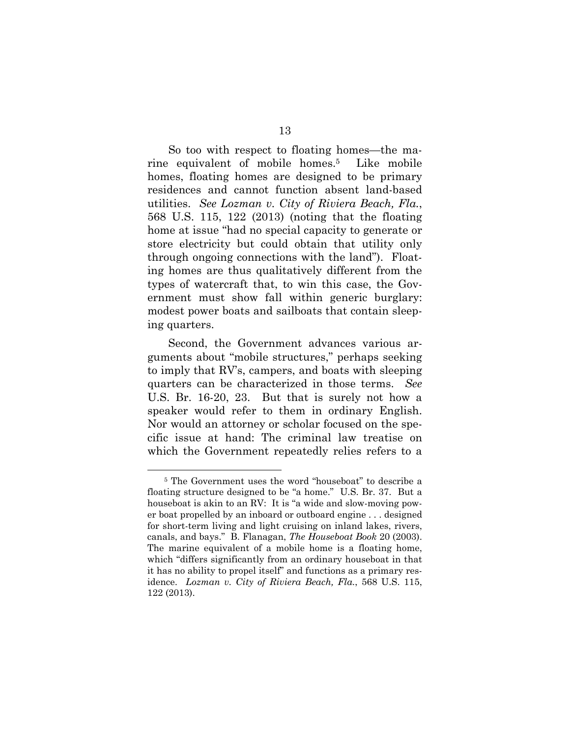So too with respect to floating homes—the marine equivalent of mobile homes.5 Like mobile homes, floating homes are designed to be primary residences and cannot function absent land-based utilities. *See Lozman v. City of Riviera Beach, Fla.*, 568 U.S. 115, 122 (2013) (noting that the floating home at issue "had no special capacity to generate or store electricity but could obtain that utility only through ongoing connections with the land"). Floating homes are thus qualitatively different from the types of watercraft that, to win this case, the Government must show fall within generic burglary: modest power boats and sailboats that contain sleeping quarters.

Second, the Government advances various arguments about "mobile structures," perhaps seeking to imply that RV's, campers, and boats with sleeping quarters can be characterized in those terms. *See*  U.S. Br. 16-20, 23. But that is surely not how a speaker would refer to them in ordinary English. Nor would an attorney or scholar focused on the specific issue at hand: The criminal law treatise on which the Government repeatedly relies refers to a

 <sup>5</sup> The Government uses the word "houseboat" to describe a floating structure designed to be "a home." U.S. Br. 37. But a houseboat is akin to an RV: It is "a wide and slow-moving power boat propelled by an inboard or outboard engine . . . designed for short-term living and light cruising on inland lakes, rivers, canals, and bays." B. Flanagan, *The Houseboat Book* 20 (2003). The marine equivalent of a mobile home is a floating home, which "differs significantly from an ordinary houseboat in that it has no ability to propel itself" and functions as a primary residence. *Lozman v. City of Riviera Beach, Fla.*, 568 U.S. 115, 122 (2013).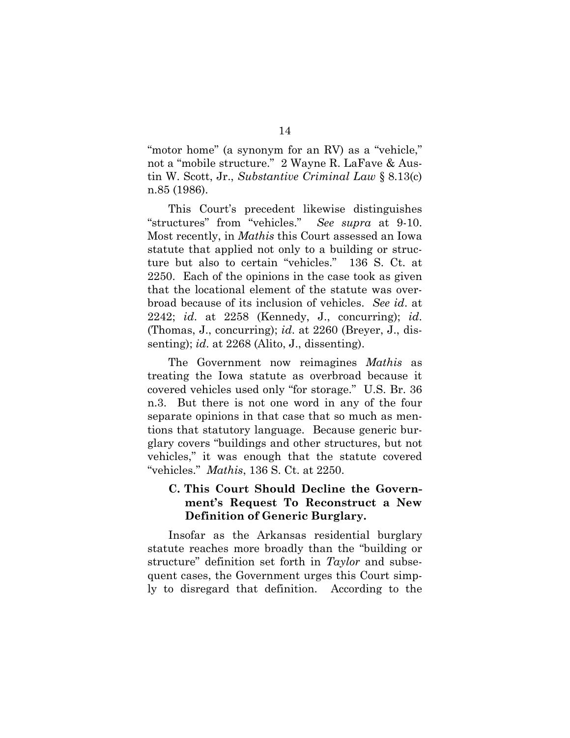"motor home" (a synonym for an RV) as a "vehicle," not a "mobile structure." 2 Wayne R. LaFave & Austin W. Scott, Jr., *Substantive Criminal Law* § 8.13(c) n.85 (1986).

This Court's precedent likewise distinguishes "structures" from "vehicles." *See supra* at 9-10. Most recently, in *Mathis* this Court assessed an Iowa statute that applied not only to a building or structure but also to certain "vehicles." 136 S. Ct. at 2250. Each of the opinions in the case took as given that the locational element of the statute was overbroad because of its inclusion of vehicles. *See id*. at 2242; *id*. at 2258 (Kennedy, J., concurring); *id*. (Thomas, J., concurring); *id*. at 2260 (Breyer, J., dissenting); *id*. at 2268 (Alito, J., dissenting).

The Government now reimagines *Mathis* as treating the Iowa statute as overbroad because it covered vehicles used only "for storage." U.S. Br. 36 n.3. But there is not one word in any of the four separate opinions in that case that so much as mentions that statutory language. Because generic burglary covers "buildings and other structures, but not vehicles," it was enough that the statute covered "vehicles." *Mathis*, 136 S. Ct. at 2250.

### **C. This Court Should Decline the Government's Request To Reconstruct a New Definition of Generic Burglary.**

Insofar as the Arkansas residential burglary statute reaches more broadly than the "building or structure" definition set forth in *Taylor* and subsequent cases, the Government urges this Court simply to disregard that definition. According to the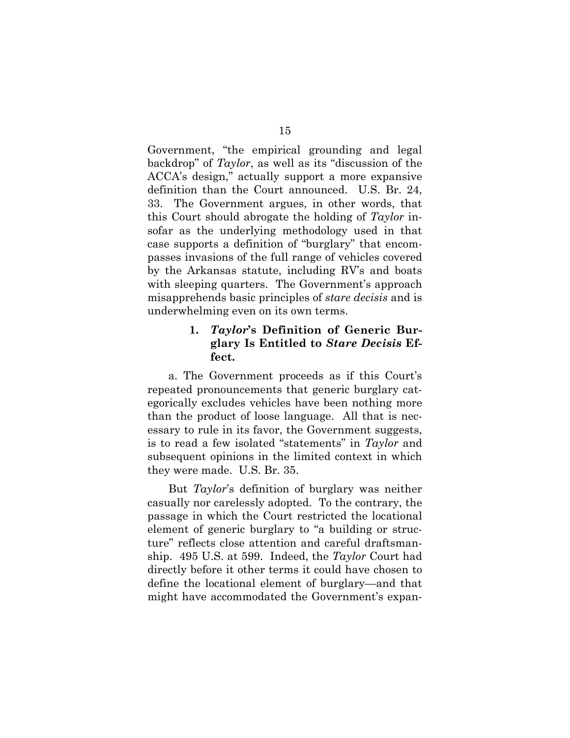Government, "the empirical grounding and legal backdrop" of *Taylor*, as well as its "discussion of the ACCA's design," actually support a more expansive definition than the Court announced. U.S. Br. 24, 33. The Government argues, in other words, that this Court should abrogate the holding of *Taylor* insofar as the underlying methodology used in that case supports a definition of "burglary" that encompasses invasions of the full range of vehicles covered by the Arkansas statute, including RV's and boats with sleeping quarters. The Government's approach misapprehends basic principles of *stare decisis* and is underwhelming even on its own terms.

### **1.** *Taylor***'s Definition of Generic Burglary Is Entitled to** *Stare Decisis* **Effect.**

a. The Government proceeds as if this Court's repeated pronouncements that generic burglary categorically excludes vehicles have been nothing more than the product of loose language. All that is necessary to rule in its favor, the Government suggests, is to read a few isolated "statements" in *Taylor* and subsequent opinions in the limited context in which they were made. U.S. Br. 35.

But *Taylor*'s definition of burglary was neither casually nor carelessly adopted. To the contrary, the passage in which the Court restricted the locational element of generic burglary to "a building or structure" reflects close attention and careful draftsmanship. 495 U.S. at 599. Indeed, the *Taylor* Court had directly before it other terms it could have chosen to define the locational element of burglary—and that might have accommodated the Government's expan-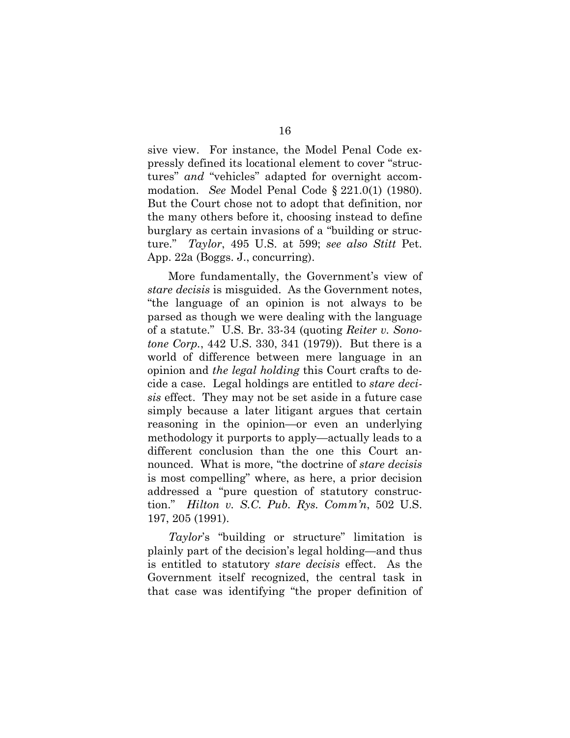sive view. For instance, the Model Penal Code expressly defined its locational element to cover "structures" *and* "vehicles" adapted for overnight accommodation. *See* Model Penal Code § 221.0(1) (1980). But the Court chose not to adopt that definition, nor the many others before it, choosing instead to define burglary as certain invasions of a "building or structure." *Taylor*, 495 U.S. at 599; *see also Stitt* Pet. App. 22a (Boggs. J., concurring).

More fundamentally, the Government's view of *stare decisis* is misguided. As the Government notes, "the language of an opinion is not always to be parsed as though we were dealing with the language of a statute." U.S. Br. 33-34 (quoting *Reiter v. Sonotone Corp.*, 442 U.S. 330, 341 (1979)). But there is a world of difference between mere language in an opinion and *the legal holding* this Court crafts to decide a case. Legal holdings are entitled to *stare decisis* effect. They may not be set aside in a future case simply because a later litigant argues that certain reasoning in the opinion—or even an underlying methodology it purports to apply—actually leads to a different conclusion than the one this Court announced. What is more, "the doctrine of *stare decisis* is most compelling" where, as here, a prior decision addressed a "pure question of statutory construction." *Hilton v. S.C. Pub. Rys. Comm'n*, 502 U.S. 197, 205 (1991).

*Taylor*'s "building or structure" limitation is plainly part of the decision's legal holding—and thus is entitled to statutory *stare decisis* effect. As the Government itself recognized, the central task in that case was identifying "the proper definition of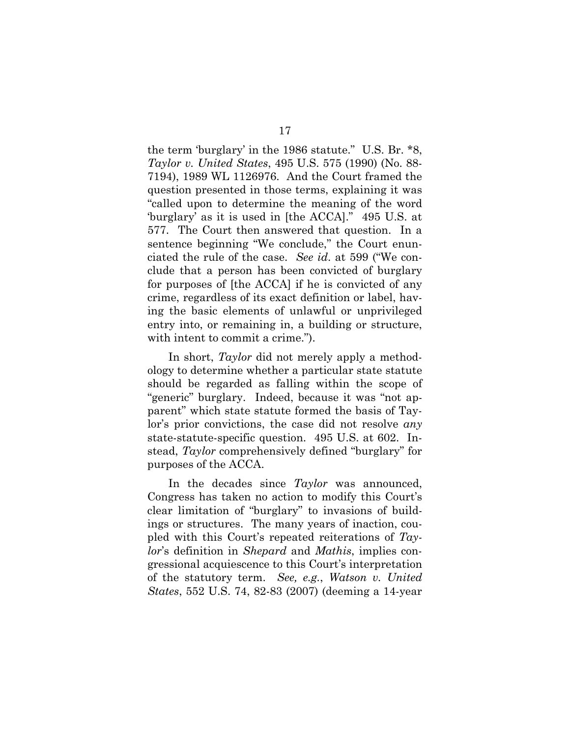the term 'burglary' in the 1986 statute." U.S. Br. \*8, *Taylor v. United States*, 495 U.S. 575 (1990) (No. 88- 7194), 1989 WL 1126976. And the Court framed the question presented in those terms, explaining it was "called upon to determine the meaning of the word 'burglary' as it is used in [the ACCA]." 495 U.S. at 577. The Court then answered that question. In a sentence beginning "We conclude," the Court enunciated the rule of the case. *See id*. at 599 ("We conclude that a person has been convicted of burglary for purposes of [the ACCA] if he is convicted of any crime, regardless of its exact definition or label, having the basic elements of unlawful or unprivileged entry into, or remaining in, a building or structure, with intent to commit a crime.").

In short, *Taylor* did not merely apply a methodology to determine whether a particular state statute should be regarded as falling within the scope of "generic" burglary. Indeed, because it was "not apparent" which state statute formed the basis of Taylor's prior convictions, the case did not resolve *any* state-statute-specific question. 495 U.S. at 602. Instead, *Taylor* comprehensively defined "burglary" for purposes of the ACCA.

In the decades since *Taylor* was announced, Congress has taken no action to modify this Court's clear limitation of "burglary" to invasions of buildings or structures. The many years of inaction, coupled with this Court's repeated reiterations of *Taylor*'s definition in *Shepard* and *Mathis*, implies congressional acquiescence to this Court's interpretation of the statutory term. *See, e.g.*, *Watson v. United States*, 552 U.S. 74, 82-83 (2007) (deeming a 14-year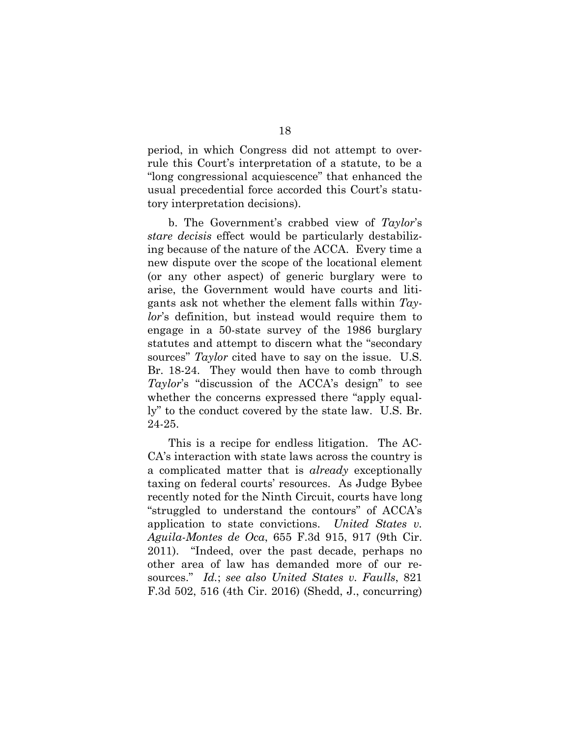period, in which Congress did not attempt to overrule this Court's interpretation of a statute, to be a "long congressional acquiescence" that enhanced the usual precedential force accorded this Court's statutory interpretation decisions).

b. The Government's crabbed view of *Taylor*'s *stare decisis* effect would be particularly destabilizing because of the nature of the ACCA. Every time a new dispute over the scope of the locational element (or any other aspect) of generic burglary were to arise, the Government would have courts and litigants ask not whether the element falls within *Taylor*'s definition, but instead would require them to engage in a 50-state survey of the 1986 burglary statutes and attempt to discern what the "secondary sources" *Taylor* cited have to say on the issue. U.S. Br. 18-24. They would then have to comb through *Taylor*'s "discussion of the ACCA's design" to see whether the concerns expressed there "apply equally" to the conduct covered by the state law. U.S. Br. 24-25.

This is a recipe for endless litigation.The AC-CA's interaction with state laws across the country is a complicated matter that is *already* exceptionally taxing on federal courts' resources. As Judge Bybee recently noted for the Ninth Circuit, courts have long "struggled to understand the contours" of ACCA's application to state convictions. *United States v. Aguila-Montes de Oca*, 655 F.3d 915, 917 (9th Cir. 2011). "Indeed, over the past decade, perhaps no other area of law has demanded more of our resources." *Id.*; *see also United States v. Faulls*, 821 F.3d 502, 516 (4th Cir. 2016) (Shedd, J., concurring)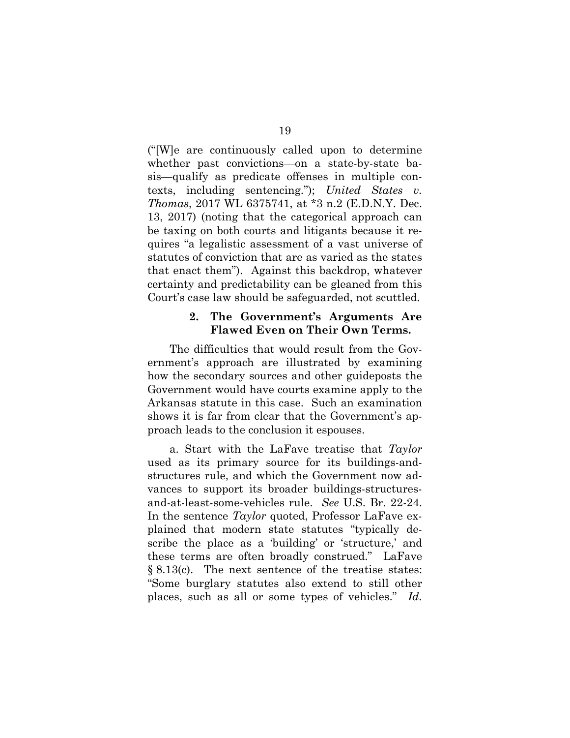("[W]e are continuously called upon to determine whether past convictions—on a state-by-state basis—qualify as predicate offenses in multiple contexts, including sentencing."); *United States v. Thomas*, 2017 WL 6375741, at \*3 n.2 (E.D.N.Y. Dec. 13, 2017) (noting that the categorical approach can be taxing on both courts and litigants because it requires "a legalistic assessment of a vast universe of statutes of conviction that are as varied as the states that enact them"). Against this backdrop, whatever certainty and predictability can be gleaned from this Court's case law should be safeguarded, not scuttled.

### **2. The Government's Arguments Are Flawed Even on Their Own Terms.**

The difficulties that would result from the Government's approach are illustrated by examining how the secondary sources and other guideposts the Government would have courts examine apply to the Arkansas statute in this case. Such an examination shows it is far from clear that the Government's approach leads to the conclusion it espouses.

a. Start with the LaFave treatise that *Taylor*  used as its primary source for its buildings-andstructures rule, and which the Government now advances to support its broader buildings-structuresand-at-least-some-vehicles rule. *See* U.S. Br. 22-24. In the sentence *Taylor* quoted, Professor LaFave explained that modern state statutes "typically describe the place as a 'building' or 'structure,' and these terms are often broadly construed." LaFave § 8.13(c). The next sentence of the treatise states: "Some burglary statutes also extend to still other places, such as all or some types of vehicles." *Id.*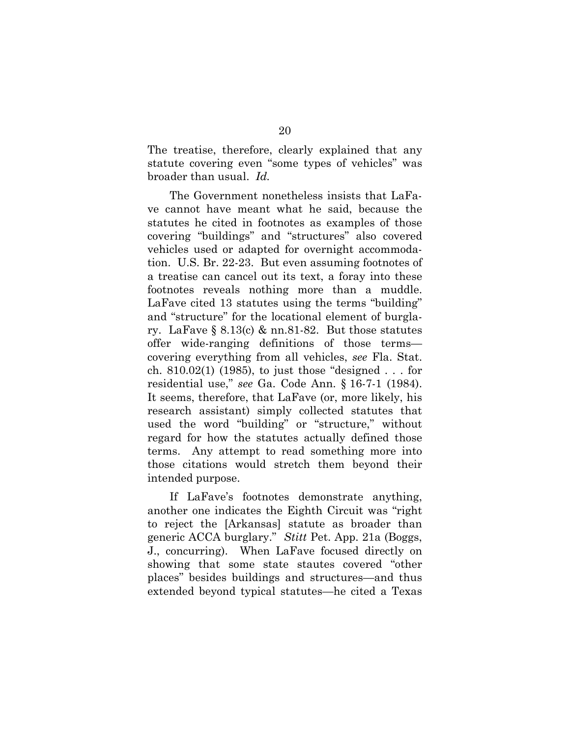The treatise, therefore, clearly explained that any statute covering even "some types of vehicles" was broader than usual. *Id.*

The Government nonetheless insists that LaFave cannot have meant what he said, because the statutes he cited in footnotes as examples of those covering "buildings" and "structures" also covered vehicles used or adapted for overnight accommodation. U.S. Br. 22-23. But even assuming footnotes of a treatise can cancel out its text, a foray into these footnotes reveals nothing more than a muddle. LaFave cited 13 statutes using the terms "building" and "structure" for the locational element of burglary. LaFave § 8.13(c)  $\&$  nn.81-82. But those statutes offer wide-ranging definitions of those terms covering everything from all vehicles, *see* Fla. Stat. ch. 810.02(1) (1985), to just those "designed . . . for residential use," *see* Ga. Code Ann. § 16-7-1 (1984). It seems, therefore, that LaFave (or, more likely, his research assistant) simply collected statutes that used the word "building" or "structure," without regard for how the statutes actually defined those terms. Any attempt to read something more into those citations would stretch them beyond their intended purpose.

If LaFave's footnotes demonstrate anything, another one indicates the Eighth Circuit was "right to reject the [Arkansas] statute as broader than generic ACCA burglary." *Stitt* Pet. App. 21a (Boggs, J., concurring). When LaFave focused directly on showing that some state stautes covered "other places" besides buildings and structures—and thus extended beyond typical statutes—he cited a Texas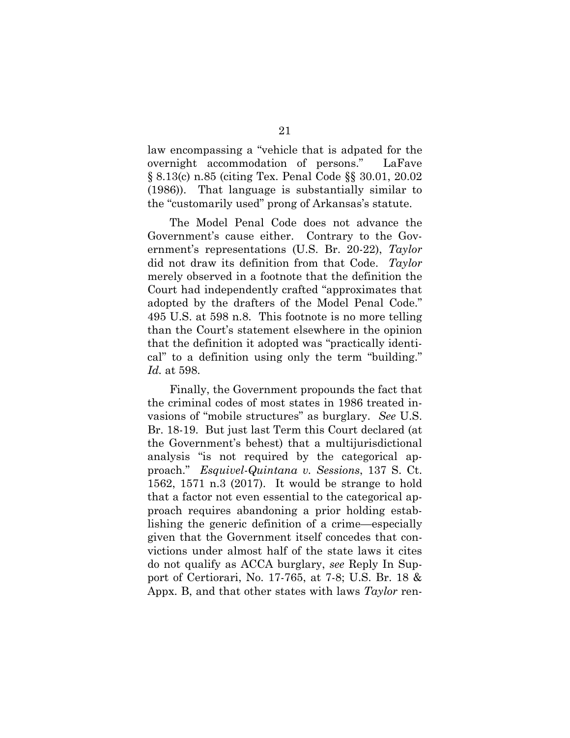law encompassing a "vehicle that is adpated for the overnight accommodation of persons." LaFave § 8.13(c) n.85 (citing Tex. Penal Code §§ 30.01, 20.02 (1986)). That language is substantially similar to the "customarily used" prong of Arkansas's statute.

The Model Penal Code does not advance the Government's cause either. Contrary to the Government's representations (U.S. Br. 20-22), *Taylor*  did not draw its definition from that Code. *Taylor*  merely observed in a footnote that the definition the Court had independently crafted "approximates that adopted by the drafters of the Model Penal Code." 495 U.S. at 598 n.8. This footnote is no more telling than the Court's statement elsewhere in the opinion that the definition it adopted was "practically identical" to a definition using only the term "building." *Id.* at 598.

Finally, the Government propounds the fact that the criminal codes of most states in 1986 treated invasions of "mobile structures" as burglary. *See* U.S. Br. 18-19. But just last Term this Court declared (at the Government's behest) that a multijurisdictional analysis "is not required by the categorical approach." *Esquivel-Quintana v. Sessions*, 137 S. Ct. 1562, 1571 n.3 (2017). It would be strange to hold that a factor not even essential to the categorical approach requires abandoning a prior holding establishing the generic definition of a crime—especially given that the Government itself concedes that convictions under almost half of the state laws it cites do not qualify as ACCA burglary, *see* Reply In Support of Certiorari, No. 17-765, at 7-8; U.S. Br. 18 & Appx. B, and that other states with laws *Taylor* ren-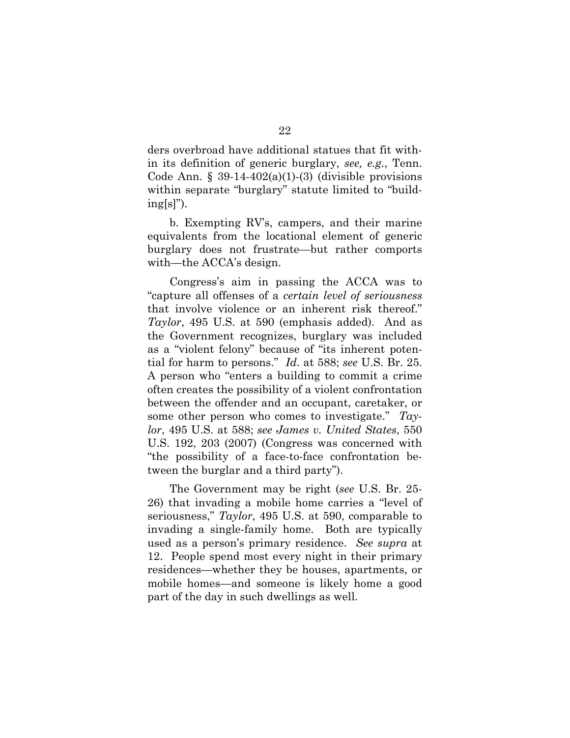ders overbroad have additional statues that fit within its definition of generic burglary, *see, e.g.*, Tenn. Code Ann.  $\S 39-14-402(a)(1)-(3)$  (divisible provisions within separate "burglary" statute limited to "build $ing[s]$ ").

b. Exempting RV's, campers, and their marine equivalents from the locational element of generic burglary does not frustrate—but rather comports with—the ACCA's design.

Congress's aim in passing the ACCA was to "capture all offenses of a *certain level of seriousness* that involve violence or an inherent risk thereof." *Taylor*, 495 U.S. at 590 (emphasis added). And as the Government recognizes, burglary was included as a "violent felony" because of "its inherent potential for harm to persons." *Id*. at 588; *see* U.S. Br. 25. A person who "enters a building to commit a crime often creates the possibility of a violent confrontation between the offender and an occupant, caretaker, or some other person who comes to investigate." *Taylor*, 495 U.S. at 588; *see James v. United States*, 550 U.S. 192, 203 (2007) (Congress was concerned with "the possibility of a face-to-face confrontation between the burglar and a third party").

The Government may be right (*see* U.S. Br. 25- 26) that invading a mobile home carries a "level of seriousness," *Taylor*, 495 U.S. at 590, comparable to invading a single-family home. Both are typically used as a person's primary residence. *See supra* at 12. People spend most every night in their primary residences—whether they be houses, apartments, or mobile homes—and someone is likely home a good part of the day in such dwellings as well.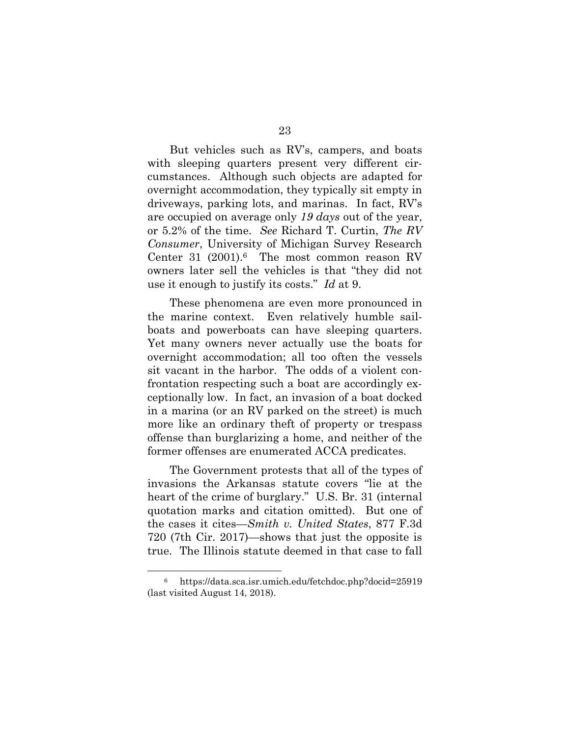But vehicles such as RV's, campers, and boats with sleeping quarters present very different circumstances. Although such objects are adapted for overnight accommodation, they typically sit empty in driveways, parking lots, and marinas. In fact, RV's are occupied on average only *19 days* out of the year, or 5.2% of the time. *See* Richard T. Curtin, *The RV Consumer*, University of Michigan Survey Research Center 31 (2001).<sup>6</sup> The most common reason RV owners later sell the vehicles is that "they did not use it enough to justify its costs." *Id* at 9.

These phenomena are even more pronounced in the marine context. Even relatively humble sailboats and powerboats can have sleeping quarters. Yet many owners never actually use the boats for overnight accommodation; all too often the vessels sit vacant in the harbor. The odds of a violent confrontation respecting such a boat are accordingly exceptionally low. In fact, an invasion of a boat docked in a marina (or an RV parked on the street) is much more like an ordinary theft of property or trespass offense than burglarizing a home, and neither of the former offenses are enumerated ACCA predicates.

The Government protests that all of the types of invasions the Arkansas statute covers "lie at the heart of the crime of burglary." U.S. Br. 31 (internal quotation marks and citation omitted). But one of the cases it cites—*Smith v. United States*, 877 F.3d 720 (7th Cir. 2017)—shows that just the opposite is true. The Illinois statute deemed in that case to fall

 <sup>6</sup> https://data.sca.isr.umich.edu/fetchdoc.php?docid=25919 (last visited August 14, 2018).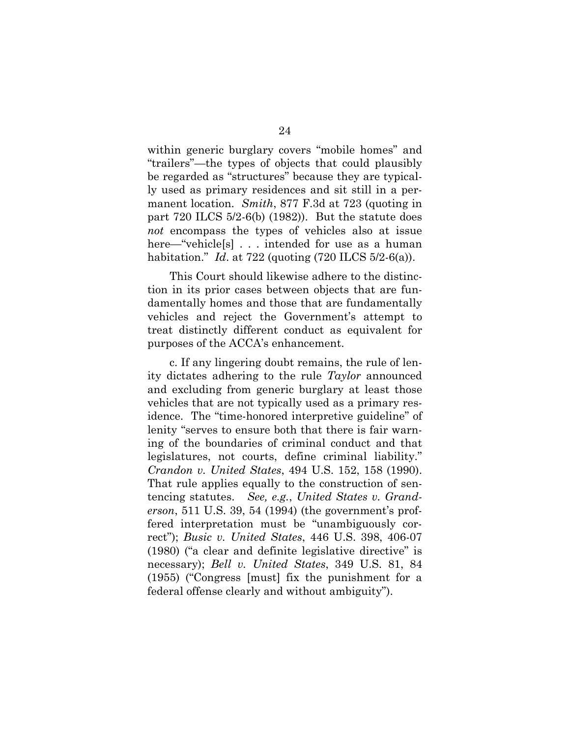within generic burglary covers "mobile homes" and "trailers"—the types of objects that could plausibly be regarded as "structures" because they are typically used as primary residences and sit still in a permanent location. *Smith*, 877 F.3d at 723 (quoting in part 720 ILCS 5/2-6(b) (1982)). But the statute does *not* encompass the types of vehicles also at issue here—"vehicle[s] . . . intended for use as a human habitation." *Id*. at 722 (quoting (720 ILCS 5/2-6(a)).

This Court should likewise adhere to the distinction in its prior cases between objects that are fundamentally homes and those that are fundamentally vehicles and reject the Government's attempt to treat distinctly different conduct as equivalent for purposes of the ACCA's enhancement.

c. If any lingering doubt remains, the rule of lenity dictates adhering to the rule *Taylor* announced and excluding from generic burglary at least those vehicles that are not typically used as a primary residence. The "time-honored interpretive guideline" of lenity "serves to ensure both that there is fair warning of the boundaries of criminal conduct and that legislatures, not courts, define criminal liability." *Crandon v. United States*, 494 U.S. 152, 158 (1990). That rule applies equally to the construction of sentencing statutes. *See, e.g.*, *United States v. Granderson*, 511 U.S. 39, 54 (1994) (the government's proffered interpretation must be "unambiguously correct"); *Busic v. United States*, 446 U.S. 398, 406-07 (1980) ("a clear and definite legislative directive" is necessary); *Bell v. United States*, 349 U.S. 81, 84 (1955) ("Congress [must] fix the punishment for a federal offense clearly and without ambiguity").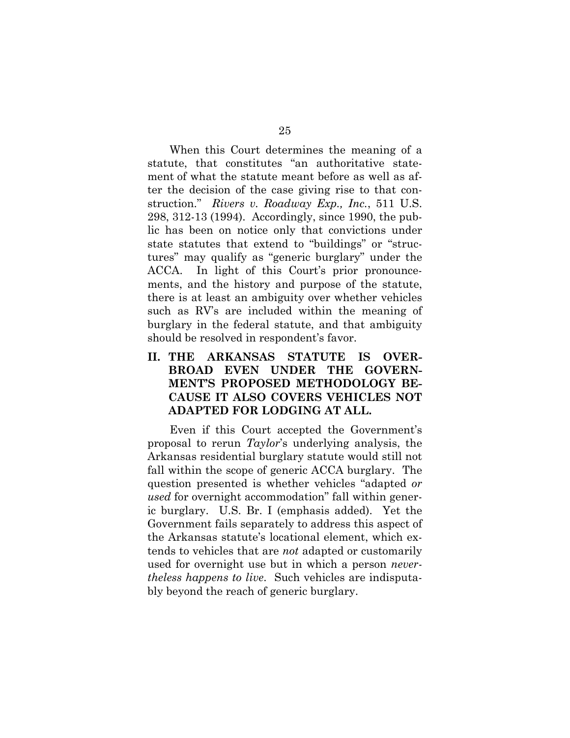When this Court determines the meaning of a statute, that constitutes "an authoritative statement of what the statute meant before as well as after the decision of the case giving rise to that construction." *Rivers v. Roadway Exp., Inc.*, 511 U.S. 298, 312-13 (1994). Accordingly, since 1990, the public has been on notice only that convictions under state statutes that extend to "buildings" or "structures" may qualify as "generic burglary" under the ACCA. In light of this Court's prior pronouncements, and the history and purpose of the statute, there is at least an ambiguity over whether vehicles such as RV's are included within the meaning of burglary in the federal statute, and that ambiguity should be resolved in respondent's favor.

## **II. THE ARKANSAS STATUTE IS OVER-BROAD EVEN UNDER THE GOVERN-MENT'S PROPOSED METHODOLOGY BE-CAUSE IT ALSO COVERS VEHICLES NOT ADAPTED FOR LODGING AT ALL.**

Even if this Court accepted the Government's proposal to rerun *Taylor*'s underlying analysis, the Arkansas residential burglary statute would still not fall within the scope of generic ACCA burglary. The question presented is whether vehicles "adapted *or used* for overnight accommodation" fall within generic burglary. U.S. Br. I (emphasis added). Yet the Government fails separately to address this aspect of the Arkansas statute's locational element, which extends to vehicles that are *not* adapted or customarily used for overnight use but in which a person *nevertheless happens to live*. Such vehicles are indisputably beyond the reach of generic burglary.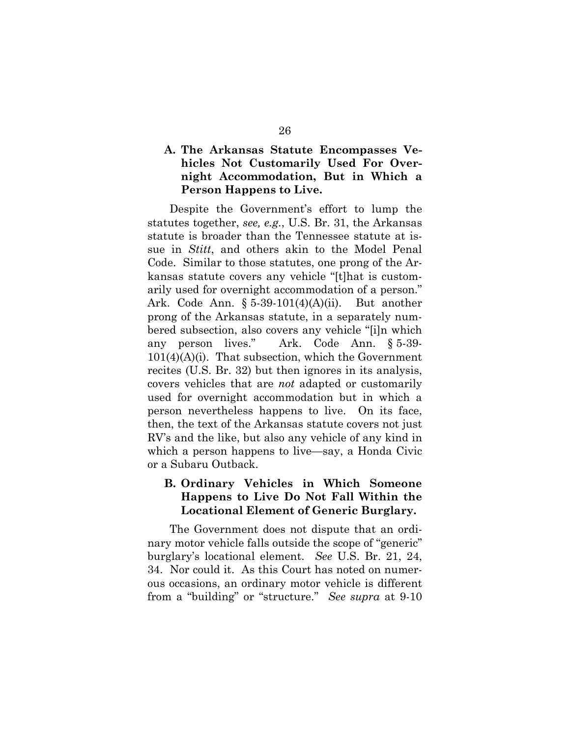### **A. The Arkansas Statute Encompasses Vehicles Not Customarily Used For Overnight Accommodation, But in Which a Person Happens to Live.**

Despite the Government's effort to lump the statutes together, *see, e.g.*, U.S. Br. 31, the Arkansas statute is broader than the Tennessee statute at issue in *Stitt*, and others akin to the Model Penal Code. Similar to those statutes, one prong of the Arkansas statute covers any vehicle "[t]hat is customarily used for overnight accommodation of a person." Ark. Code Ann. § 5-39-101(4)(A)(ii). But another prong of the Arkansas statute, in a separately numbered subsection, also covers any vehicle "[i]n which any person lives." Ark. Code Ann. § 5-39-  $101(4)(A)(i)$ . That subsection, which the Government recites (U.S. Br. 32) but then ignores in its analysis, covers vehicles that are *not* adapted or customarily used for overnight accommodation but in which a person nevertheless happens to live. On its face, then, the text of the Arkansas statute covers not just RV's and the like, but also any vehicle of any kind in which a person happens to live—say, a Honda Civic or a Subaru Outback.

## **B. Ordinary Vehicles in Which Someone Happens to Live Do Not Fall Within the Locational Element of Generic Burglary.**

The Government does not dispute that an ordinary motor vehicle falls outside the scope of "generic" burglary's locational element. *See* U.S. Br. 21, 24, 34. Nor could it. As this Court has noted on numerous occasions, an ordinary motor vehicle is different from a "building" or "structure." *See supra* at 9-10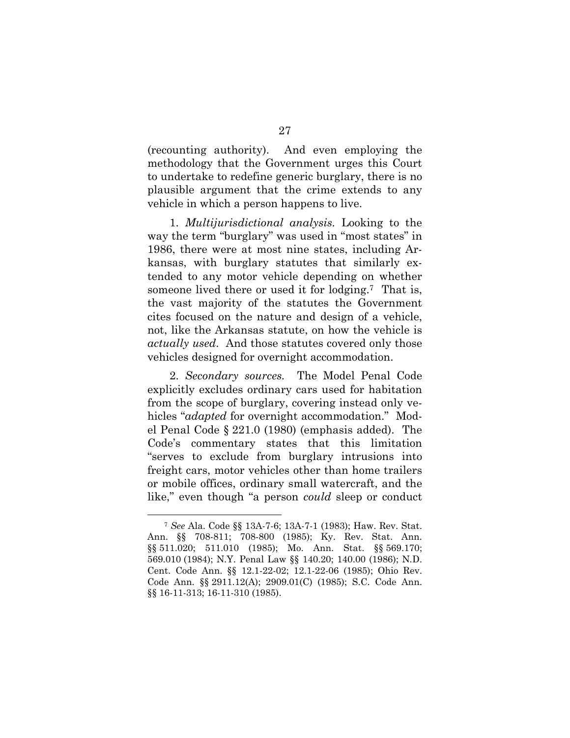(recounting authority). And even employing the methodology that the Government urges this Court to undertake to redefine generic burglary, there is no plausible argument that the crime extends to any vehicle in which a person happens to live.

1. *Multijurisdictional analysis.* Looking to the way the term "burglary" was used in "most states" in 1986, there were at most nine states, including Arkansas, with burglary statutes that similarly extended to any motor vehicle depending on whether someone lived there or used it for lodging.<sup>7</sup> That is, the vast majority of the statutes the Government cites focused on the nature and design of a vehicle, not, like the Arkansas statute, on how the vehicle is *actually used*. And those statutes covered only those vehicles designed for overnight accommodation.

2. *Secondary sources.* The Model Penal Code explicitly excludes ordinary cars used for habitation from the scope of burglary, covering instead only vehicles "*adapted* for overnight accommodation." Model Penal Code § 221.0 (1980) (emphasis added). The Code's commentary states that this limitation "serves to exclude from burglary intrusions into freight cars, motor vehicles other than home trailers or mobile offices, ordinary small watercraft, and the like," even though "a person *could* sleep or conduct

 <sup>7</sup> *See* Ala. Code §§ 13A-7-6; 13A-7-1 (1983); Haw. Rev. Stat. Ann. §§ 708-811; 708-800 (1985); Ky. Rev. Stat. Ann. §§ 511.020; 511.010 (1985); Mo. Ann. Stat. §§ 569.170; 569.010 (1984); N.Y. Penal Law §§ 140.20; 140.00 (1986); N.D. Cent. Code Ann. §§ 12.1-22-02; 12.1-22-06 (1985); Ohio Rev. Code Ann. §§ 2911.12(A); 2909.01(C) (1985); S.C. Code Ann. §§ 16-11-313; 16-11-310 (1985).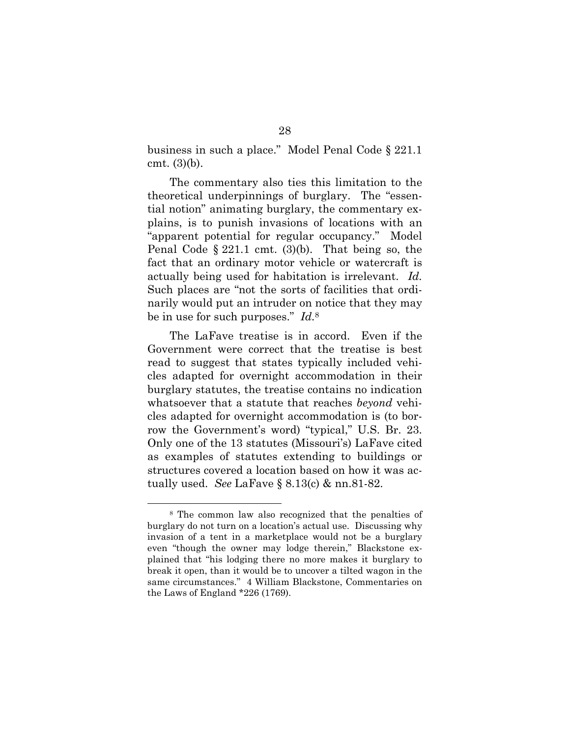business in such a place." Model Penal Code § 221.1 cmt. (3)(b).

The commentary also ties this limitation to the theoretical underpinnings of burglary. The "essential notion" animating burglary, the commentary explains, is to punish invasions of locations with an "apparent potential for regular occupancy." Model Penal Code § 221.1 cmt. (3)(b). That being so, the fact that an ordinary motor vehicle or watercraft is actually being used for habitation is irrelevant. *Id.* Such places are "not the sorts of facilities that ordinarily would put an intruder on notice that they may be in use for such purposes." *Id.*<sup>8</sup>

The LaFave treatise is in accord. Even if the Government were correct that the treatise is best read to suggest that states typically included vehicles adapted for overnight accommodation in their burglary statutes, the treatise contains no indication whatsoever that a statute that reaches *beyond* vehicles adapted for overnight accommodation is (to borrow the Government's word) "typical," U.S. Br. 23. Only one of the 13 statutes (Missouri's) LaFave cited as examples of statutes extending to buildings or structures covered a location based on how it was actually used. *See* LaFave § 8.13(c) & nn.81-82.

 <sup>8</sup> The common law also recognized that the penalties of burglary do not turn on a location's actual use. Discussing why invasion of a tent in a marketplace would not be a burglary even "though the owner may lodge therein," Blackstone explained that "his lodging there no more makes it burglary to break it open, than it would be to uncover a tilted wagon in the same circumstances." 4 William Blackstone, Commentaries on the Laws of England \*226 (1769).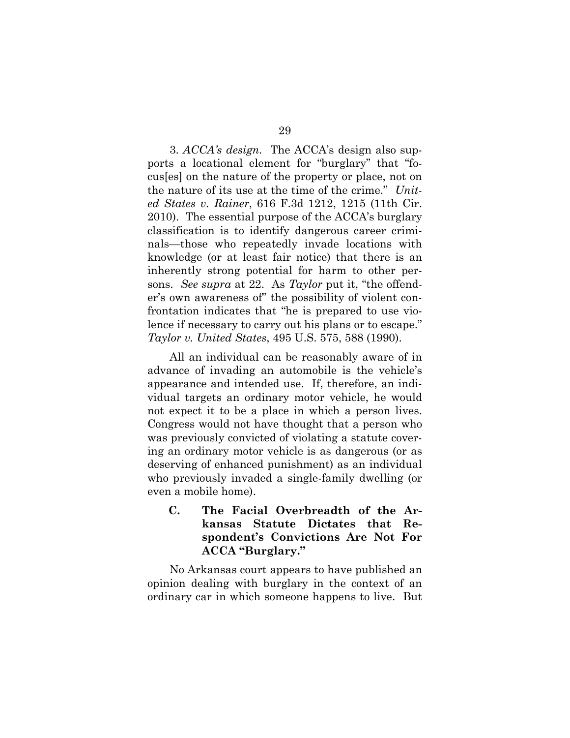3. *ACCA's design.* The ACCA's design also supports a locational element for "burglary" that "focus[es] on the nature of the property or place, not on the nature of its use at the time of the crime." *United States v. Rainer*, 616 F.3d 1212, 1215 (11th Cir. 2010). The essential purpose of the ACCA's burglary classification is to identify dangerous career criminals—those who repeatedly invade locations with knowledge (or at least fair notice) that there is an inherently strong potential for harm to other persons. *See supra* at 22. As *Taylor* put it, "the offender's own awareness of" the possibility of violent confrontation indicates that "he is prepared to use violence if necessary to carry out his plans or to escape." *Taylor v. United States*, 495 U.S. 575, 588 (1990).

All an individual can be reasonably aware of in advance of invading an automobile is the vehicle's appearance and intended use. If, therefore, an individual targets an ordinary motor vehicle, he would not expect it to be a place in which a person lives. Congress would not have thought that a person who was previously convicted of violating a statute covering an ordinary motor vehicle is as dangerous (or as deserving of enhanced punishment) as an individual who previously invaded a single-family dwelling (or even a mobile home).

**C. The Facial Overbreadth of the Arkansas Statute Dictates that Respondent's Convictions Are Not For ACCA "Burglary."** 

No Arkansas court appears to have published an opinion dealing with burglary in the context of an ordinary car in which someone happens to live. But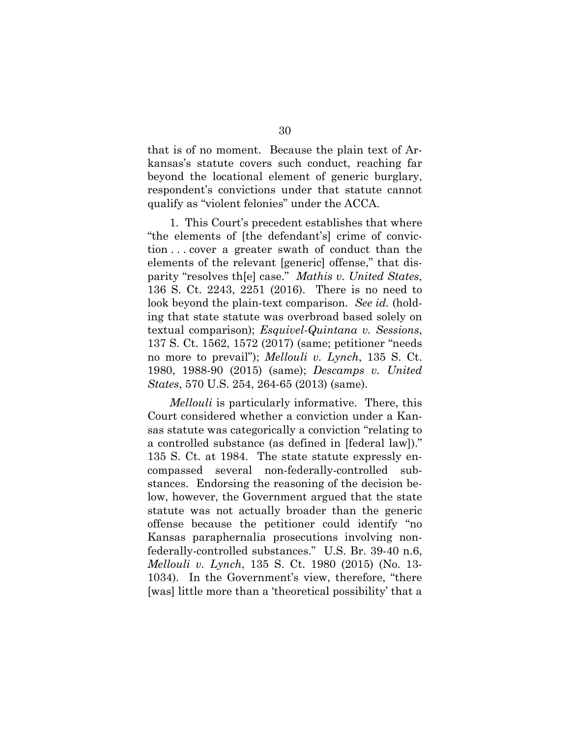that is of no moment. Because the plain text of Arkansas's statute covers such conduct, reaching far beyond the locational element of generic burglary, respondent's convictions under that statute cannot qualify as "violent felonies" under the ACCA.

1. This Court's precedent establishes that where "the elements of [the defendant's] crime of conviction . . . cover a greater swath of conduct than the elements of the relevant [generic] offense," that disparity "resolves th[e] case." *Mathis v. United States*, 136 S. Ct. 2243, 2251 (2016). There is no need to look beyond the plain-text comparison. *See id.* (holding that state statute was overbroad based solely on textual comparison); *Esquivel-Quintana v. Sessions*, 137 S. Ct. 1562, 1572 (2017) (same; petitioner "needs no more to prevail"); *Mellouli v. Lynch*, 135 S. Ct. 1980, 1988-90 (2015) (same); *Descamps v. United States*, 570 U.S. 254, 264-65 (2013) (same).

*Mellouli* is particularly informative. There, this Court considered whether a conviction under a Kansas statute was categorically a conviction "relating to a controlled substance (as defined in [federal law])." 135 S. Ct. at 1984. The state statute expressly encompassed several non-federally-controlled substances. Endorsing the reasoning of the decision below, however, the Government argued that the state statute was not actually broader than the generic offense because the petitioner could identify "no Kansas paraphernalia prosecutions involving nonfederally-controlled substances." U.S. Br. 39-40 n.6, *Mellouli v. Lynch*, 135 S. Ct. 1980 (2015) (No. 13- 1034). In the Government's view, therefore, "there [was] little more than a 'theoretical possibility' that a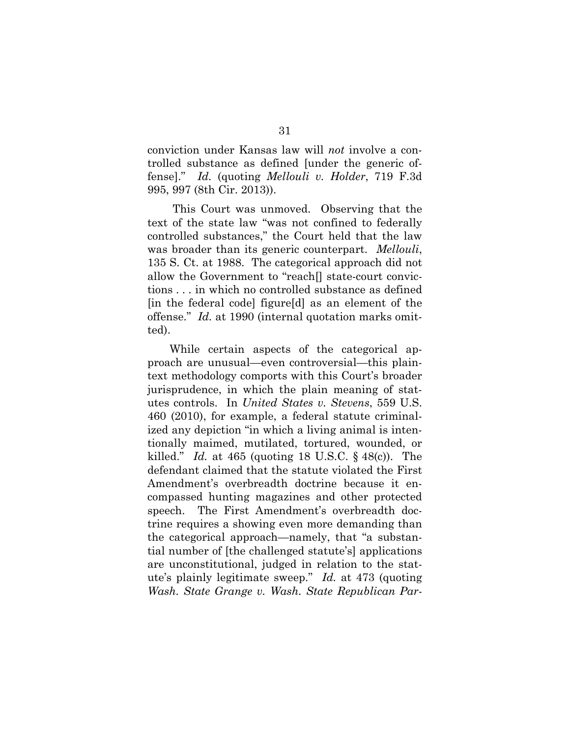conviction under Kansas law will *not* involve a controlled substance as defined [under the generic offense]." *Id.* (quoting *Mellouli v. Holder*, 719 F.3d 995, 997 (8th Cir. 2013)).

 This Court was unmoved. Observing that the text of the state law "was not confined to federally controlled substances," the Court held that the law was broader than its generic counterpart. *Mellouli*, 135 S. Ct. at 1988. The categorical approach did not allow the Government to "reach[] state-court convictions . . . in which no controlled substance as defined [in the federal code] figure[d] as an element of the offense." *Id.* at 1990 (internal quotation marks omitted).

While certain aspects of the categorical approach are unusual—even controversial—this plaintext methodology comports with this Court's broader jurisprudence, in which the plain meaning of statutes controls. In *United States v. Stevens*, 559 U.S. 460 (2010), for example, a federal statute criminalized any depiction "in which a living animal is intentionally maimed, mutilated, tortured, wounded, or killed." *Id.* at 465 (quoting 18 U.S.C. § 48(c)). The defendant claimed that the statute violated the First Amendment's overbreadth doctrine because it encompassed hunting magazines and other protected speech. The First Amendment's overbreadth doctrine requires a showing even more demanding than the categorical approach—namely, that "a substantial number of [the challenged statute's] applications are unconstitutional, judged in relation to the statute's plainly legitimate sweep." *Id.* at 473 (quoting *Wash. State Grange v. Wash. State Republican Par-*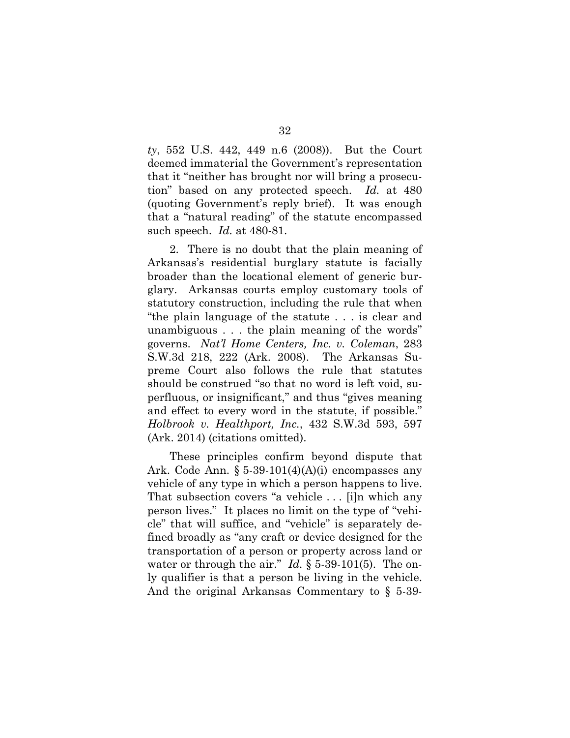*ty*, 552 U.S. 442, 449 n.6 (2008)). But the Court deemed immaterial the Government's representation that it "neither has brought nor will bring a prosecution" based on any protected speech. *Id.* at 480 (quoting Government's reply brief). It was enough that a "natural reading" of the statute encompassed such speech. *Id.* at 480-81.

2. There is no doubt that the plain meaning of Arkansas's residential burglary statute is facially broader than the locational element of generic burglary. Arkansas courts employ customary tools of statutory construction, including the rule that when "the plain language of the statute . . . is clear and unambiguous . . . the plain meaning of the words" governs. *Nat'l Home Centers, Inc. v. Coleman*, 283 S.W.3d 218, 222 (Ark. 2008). The Arkansas Supreme Court also follows the rule that statutes should be construed "so that no word is left void, superfluous, or insignificant," and thus "gives meaning and effect to every word in the statute, if possible." *Holbrook v. Healthport, Inc.*, 432 S.W.3d 593, 597 (Ark. 2014) (citations omitted).

These principles confirm beyond dispute that Ark. Code Ann.  $\S 5-39-101(4)(A)(i)$  encompasses any vehicle of any type in which a person happens to live. That subsection covers "a vehicle . . . [i]n which any person lives." It places no limit on the type of "vehicle" that will suffice, and "vehicle" is separately defined broadly as "any craft or device designed for the transportation of a person or property across land or water or through the air." *Id.* § 5-39-101(5). The only qualifier is that a person be living in the vehicle. And the original Arkansas Commentary to § 5-39-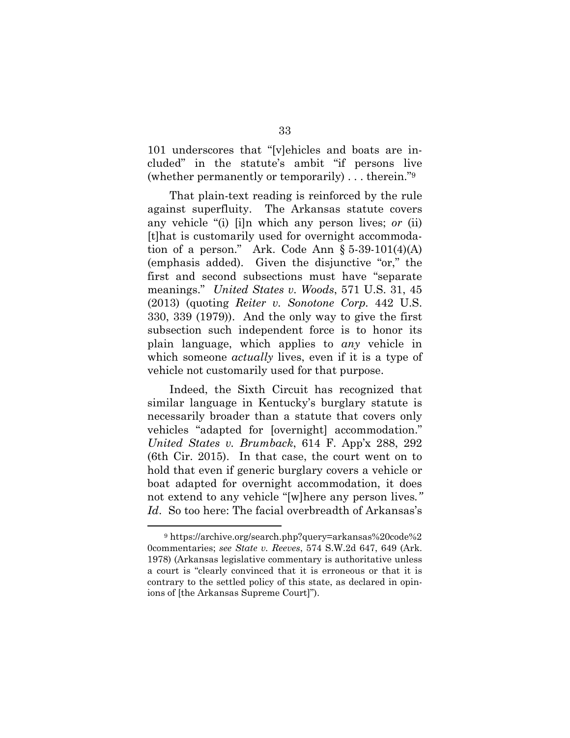101 underscores that "[v]ehicles and boats are included" in the statute's ambit "if persons live (whether permanently or temporarily) . . . therein."9

That plain-text reading is reinforced by the rule against superfluity. The Arkansas statute covers any vehicle "(i) [i]n which any person lives; *or* (ii) [t]hat is customarily used for overnight accommodation of a person." Ark. Code Ann  $\S 5-39-101(4)(A)$ (emphasis added). Given the disjunctive "or," the first and second subsections must have "separate meanings." *United States v. Woods*, 571 U.S. 31, 45 (2013) (quoting *Reiter v. Sonotone Corp.* 442 U.S. 330, 339 (1979)). And the only way to give the first subsection such independent force is to honor its plain language, which applies to *any* vehicle in which someone *actually* lives, even if it is a type of vehicle not customarily used for that purpose.

Indeed, the Sixth Circuit has recognized that similar language in Kentucky's burglary statute is necessarily broader than a statute that covers only vehicles "adapted for [overnight] accommodation." *United States v. Brumback*, 614 F. App'x 288, 292 (6th Cir. 2015). In that case, the court went on to hold that even if generic burglary covers a vehicle or boat adapted for overnight accommodation, it does not extend to any vehicle "[w]here any person lives*." Id*. So too here: The facial overbreadth of Arkansas's

 <sup>9</sup> https://archive.org/search.php?query=arkansas%20code%2 0commentaries; *see State v. Reeves*, 574 S.W.2d 647, 649 (Ark. 1978) (Arkansas legislative commentary is authoritative unless a court is "clearly convinced that it is erroneous or that it is contrary to the settled policy of this state, as declared in opinions of [the Arkansas Supreme Court]").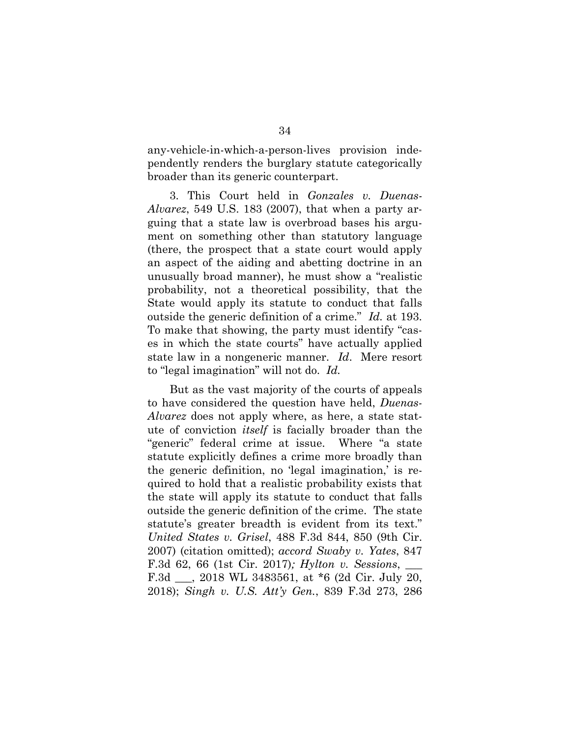any-vehicle-in-which-a-person-lives provision independently renders the burglary statute categorically broader than its generic counterpart.

3. This Court held in *Gonzales v. Duenas-Alvarez*, 549 U.S. 183 (2007), that when a party arguing that a state law is overbroad bases his argument on something other than statutory language (there, the prospect that a state court would apply an aspect of the aiding and abetting doctrine in an unusually broad manner), he must show a "realistic probability, not a theoretical possibility, that the State would apply its statute to conduct that falls outside the generic definition of a crime." *Id.* at 193. To make that showing, the party must identify "cases in which the state courts" have actually applied state law in a nongeneric manner. *Id*. Mere resort to "legal imagination" will not do. *Id.* 

But as the vast majority of the courts of appeals to have considered the question have held, *Duenas-Alvarez* does not apply where, as here, a state statute of conviction *itself* is facially broader than the "generic" federal crime at issue. Where "a state statute explicitly defines a crime more broadly than the generic definition, no 'legal imagination,' is required to hold that a realistic probability exists that the state will apply its statute to conduct that falls outside the generic definition of the crime. The state statute's greater breadth is evident from its text." *United States v. Grisel*, 488 F.3d 844, 850 (9th Cir. 2007) (citation omitted); *accord Swaby v. Yates*, 847 F.3d 62, 66 (1st Cir. 2017)*; Hylton v. Sessions*, \_\_\_ F.3d \_\_\_, 2018 WL 3483561, at \*6 (2d Cir. July 20, 2018); *Singh v. U.S. Att'y Gen.*, 839 F.3d 273, 286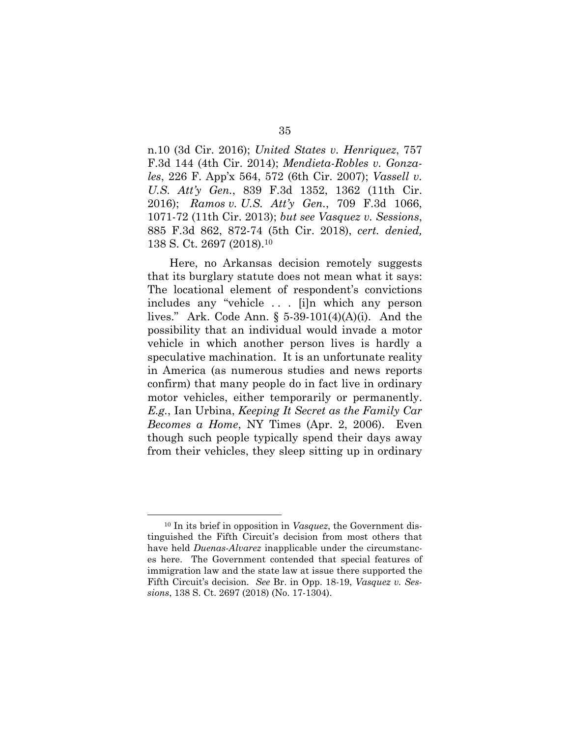n.10 (3d Cir. 2016); *United States v. Henriquez*, 757 F.3d 144 (4th Cir. 2014); *Mendieta-Robles v. Gonzales*, 226 F. App'x 564, 572 (6th Cir. 2007); *Vassell v. U.S. Att'y Gen.*, 839 F.3d 1352, 1362 (11th Cir. 2016); *Ramos v. U.S. Att'y Gen.*, 709 F.3d 1066, 1071-72 (11th Cir. 2013); *but see Vasquez v. Sessions*, 885 F.3d 862, 872-74 (5th Cir. 2018), *cert. denied,* 138 S. Ct. 2697 (2018).10

Here, no Arkansas decision remotely suggests that its burglary statute does not mean what it says: The locational element of respondent's convictions includes any "vehicle . . . [i]n which any person lives." Ark. Code Ann. § 5-39-101(4)(A)(i). And the possibility that an individual would invade a motor vehicle in which another person lives is hardly a speculative machination. It is an unfortunate reality in America (as numerous studies and news reports confirm) that many people do in fact live in ordinary motor vehicles, either temporarily or permanently. *E.g.*, Ian Urbina, *Keeping It Secret as the Family Car Becomes a Home*, NY Times (Apr. 2, 2006). Even though such people typically spend their days away from their vehicles, they sleep sitting up in ordinary

 <sup>10</sup> In its brief in opposition in *Vasquez*, the Government distinguished the Fifth Circuit's decision from most others that have held *Duenas-Alvarez* inapplicable under the circumstances here. The Government contended that special features of immigration law and the state law at issue there supported the Fifth Circuit's decision. *See* Br. in Opp. 18-19, *Vasquez v. Sessions*, 138 S. Ct. 2697 (2018) (No. 17-1304).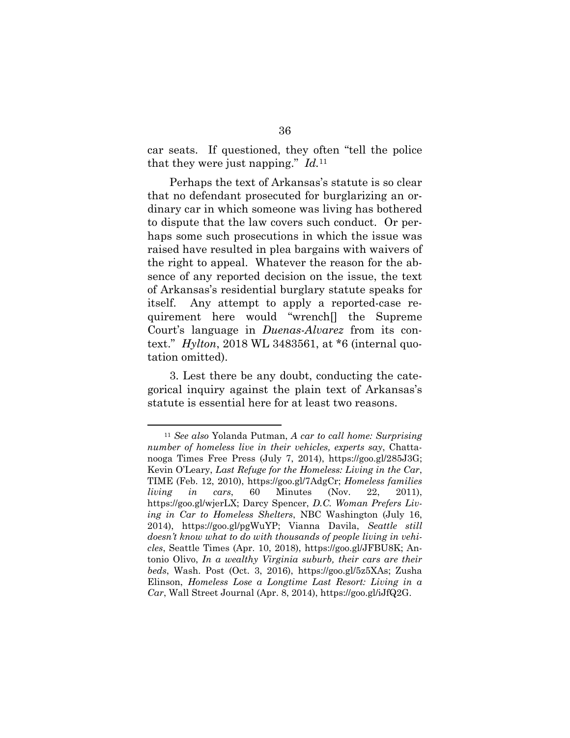car seats. If questioned, they often "tell the police that they were just napping." *Id.*11

Perhaps the text of Arkansas's statute is so clear that no defendant prosecuted for burglarizing an ordinary car in which someone was living has bothered to dispute that the law covers such conduct. Or perhaps some such prosecutions in which the issue was raised have resulted in plea bargains with waivers of the right to appeal. Whatever the reason for the absence of any reported decision on the issue, the text of Arkansas's residential burglary statute speaks for itself. Any attempt to apply a reported-case requirement here would "wrench[] the Supreme Court's language in *Duenas-Alvarez* from its context." *Hylton*, 2018 WL 3483561, at \*6 (internal quotation omitted).

3. Lest there be any doubt, conducting the categorical inquiry against the plain text of Arkansas's statute is essential here for at least two reasons.

 <sup>11</sup> *See also* Yolanda Putman, *A car to call home: Surprising number of homeless live in their vehicles, experts say*, Chattanooga Times Free Press (July 7, 2014), https://goo.gl/285J3G; Kevin O'Leary, *Last Refuge for the Homeless: Living in the Car*, TIME (Feb. 12, 2010), https://goo.gl/7AdgCr; *Homeless families living in cars*, 60 Minutes (Nov. 22, 2011), https://goo.gl/wjerLX; Darcy Spencer, *D.C. Woman Prefers Living in Car to Homeless Shelters*, NBC Washington (July 16, 2014), https://goo.gl/pgWuYP; Vianna Davila, *Seattle still doesn't know what to do with thousands of people living in vehicles*, Seattle Times (Apr. 10, 2018), https://goo.gl/JFBU8K; Antonio Olivo, *In a wealthy Virginia suburb, their cars are their beds*, Wash. Post (Oct. 3, 2016), https://goo.gl/5z5XAs; Zusha Elinson, *Homeless Lose a Longtime Last Resort: Living in a Car*, Wall Street Journal (Apr. 8, 2014), https://goo.gl/iJfQ2G.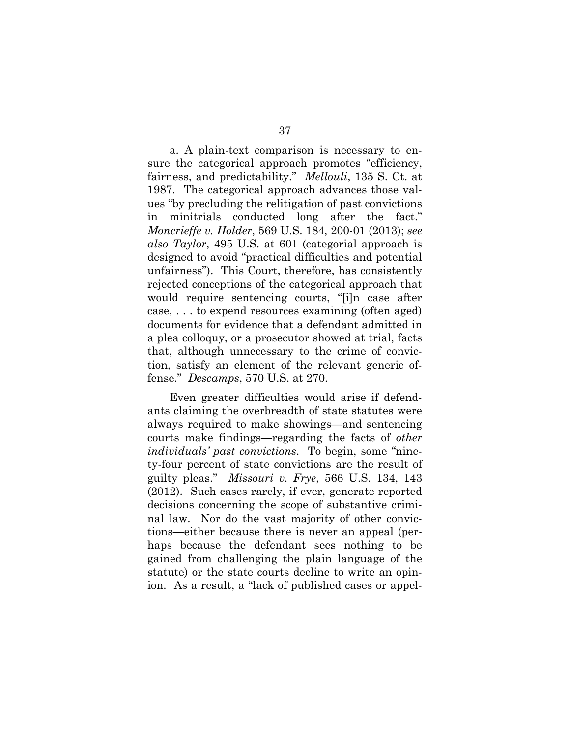a. A plain-text comparison is necessary to ensure the categorical approach promotes "efficiency, fairness, and predictability." *Mellouli*, 135 S. Ct. at 1987. The categorical approach advances those values "by precluding the relitigation of past convictions in minitrials conducted long after the fact." *Moncrieffe v. Holder*, 569 U.S. 184, 200-01 (2013); *see also Taylor*, 495 U.S. at 601 (categorial approach is designed to avoid "practical difficulties and potential unfairness"). This Court, therefore, has consistently rejected conceptions of the categorical approach that would require sentencing courts, "[i]n case after case, . . . to expend resources examining (often aged) documents for evidence that a defendant admitted in a plea colloquy, or a prosecutor showed at trial, facts that, although unnecessary to the crime of conviction, satisfy an element of the relevant generic offense." *Descamps*, 570 U.S. at 270.

Even greater difficulties would arise if defendants claiming the overbreadth of state statutes were always required to make showings—and sentencing courts make findings—regarding the facts of *other individuals' past convictions*. To begin, some "ninety-four percent of state convictions are the result of guilty pleas." *Missouri v. Frye*, 566 U.S. 134, 143 (2012). Such cases rarely, if ever, generate reported decisions concerning the scope of substantive criminal law. Nor do the vast majority of other convictions—either because there is never an appeal (perhaps because the defendant sees nothing to be gained from challenging the plain language of the statute) or the state courts decline to write an opinion. As a result, a "lack of published cases or appel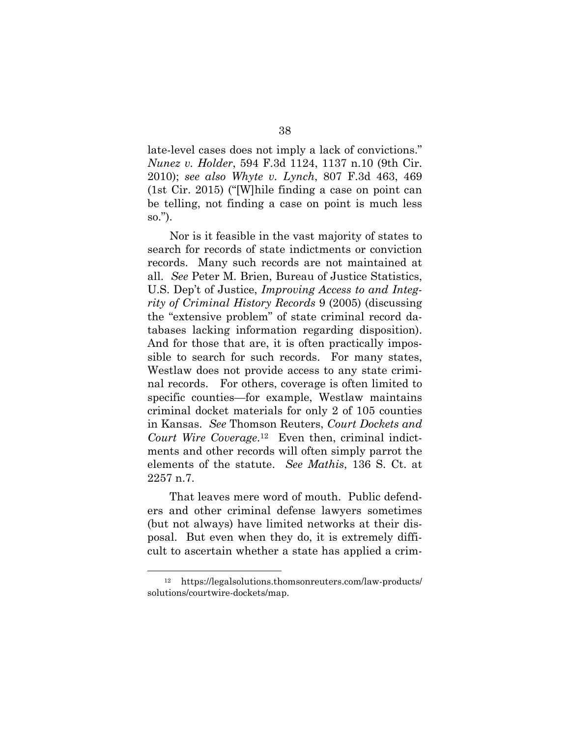late-level cases does not imply a lack of convictions." *Nunez v. Holder*, 594 F.3d 1124, 1137 n.10 (9th Cir. 2010); *see also Whyte v. Lynch*, 807 F.3d 463, 469 (1st Cir. 2015) ("[W]hile finding a case on point can be telling, not finding a case on point is much less so.").

Nor is it feasible in the vast majority of states to search for records of state indictments or conviction records. Many such records are not maintained at all. *See* Peter M. Brien, Bureau of Justice Statistics, U.S. Dep't of Justice, *Improving Access to and Integrity of Criminal History Records* 9 (2005) (discussing the "extensive problem" of state criminal record databases lacking information regarding disposition). And for those that are, it is often practically impossible to search for such records. For many states, Westlaw does not provide access to any state criminal records. For others, coverage is often limited to specific counties—for example, Westlaw maintains criminal docket materials for only 2 of 105 counties in Kansas. *See* Thomson Reuters, *Court Dockets and Court Wire Coverage*.12 Even then, criminal indictments and other records will often simply parrot the elements of the statute. *See Mathis*, 136 S. Ct. at 2257 n.7.

That leaves mere word of mouth. Public defenders and other criminal defense lawyers sometimes (but not always) have limited networks at their disposal. But even when they do, it is extremely difficult to ascertain whether a state has applied a crim-

 <sup>12</sup> https://legalsolutions.thomsonreuters.com/law-products/ solutions/courtwire-dockets/map.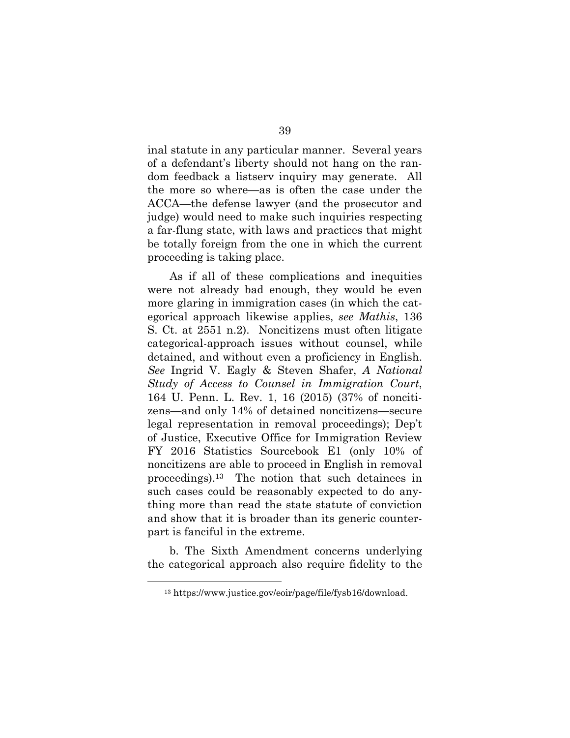inal statute in any particular manner. Several years of a defendant's liberty should not hang on the random feedback a listserv inquiry may generate. All the more so where—as is often the case under the ACCA—the defense lawyer (and the prosecutor and judge) would need to make such inquiries respecting a far-flung state, with laws and practices that might be totally foreign from the one in which the current proceeding is taking place.

As if all of these complications and inequities were not already bad enough, they would be even more glaring in immigration cases (in which the categorical approach likewise applies, *see Mathis*, 136 S. Ct. at 2551 n.2). Noncitizens must often litigate categorical-approach issues without counsel, while detained, and without even a proficiency in English. *See* Ingrid V. Eagly & Steven Shafer, *A National Study of Access to Counsel in Immigration Court*, 164 U. Penn. L. Rev. 1, 16 (2015) (37% of noncitizens—and only 14% of detained noncitizens—secure legal representation in removal proceedings); Dep't of Justice, Executive Office for Immigration Review FY 2016 Statistics Sourcebook E1 (only 10% of noncitizens are able to proceed in English in removal proceedings).13 The notion that such detainees in such cases could be reasonably expected to do anything more than read the state statute of conviction and show that it is broader than its generic counterpart is fanciful in the extreme.

b. The Sixth Amendment concerns underlying the categorical approach also require fidelity to the

 <sup>13</sup> https://www.justice.gov/eoir/page/file/fysb16/download.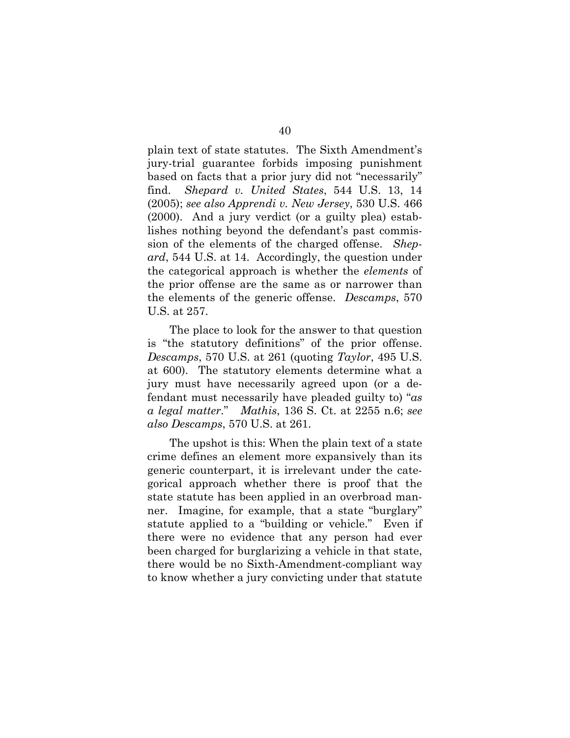plain text of state statutes. The Sixth Amendment's jury-trial guarantee forbids imposing punishment based on facts that a prior jury did not "necessarily" find. *Shepard v. United States*, 544 U.S. 13, 14 (2005); *see also Apprendi v. New Jersey*, 530 U.S. 466 (2000). And a jury verdict (or a guilty plea) establishes nothing beyond the defendant's past commission of the elements of the charged offense. *Shepard*, 544 U.S. at 14.Accordingly, the question under the categorical approach is whether the *elements* of the prior offense are the same as or narrower than the elements of the generic offense. *Descamps*, 570 U.S. at 257.

The place to look for the answer to that question is "the statutory definitions" of the prior offense. *Descamps*, 570 U.S. at 261 (quoting *Taylor*, 495 U.S. at 600). The statutory elements determine what a jury must have necessarily agreed upon (or a defendant must necessarily have pleaded guilty to) "*as a legal matter*." *Mathis*, 136 S. Ct. at 2255 n.6; *see also Descamps*, 570 U.S. at 261.

The upshot is this: When the plain text of a state crime defines an element more expansively than its generic counterpart, it is irrelevant under the categorical approach whether there is proof that the state statute has been applied in an overbroad manner. Imagine, for example, that a state "burglary" statute applied to a "building or vehicle." Even if there were no evidence that any person had ever been charged for burglarizing a vehicle in that state, there would be no Sixth-Amendment-compliant way to know whether a jury convicting under that statute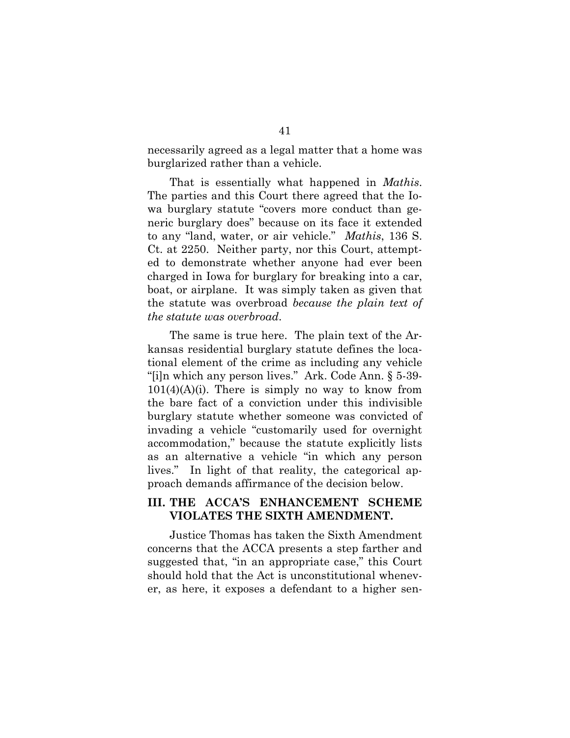necessarily agreed as a legal matter that a home was burglarized rather than a vehicle.

That is essentially what happened in *Mathis*. The parties and this Court there agreed that the Iowa burglary statute "covers more conduct than generic burglary does" because on its face it extended to any "land, water, or air vehicle." *Mathis*, 136 S. Ct. at 2250.Neither party, nor this Court, attempted to demonstrate whether anyone had ever been charged in Iowa for burglary for breaking into a car, boat, or airplane. It was simply taken as given that the statute was overbroad *because the plain text of the statute was overbroad*.

The same is true here. The plain text of the Arkansas residential burglary statute defines the locational element of the crime as including any vehicle "[i]n which any person lives." Ark. Code Ann. § 5-39-  $101(4)(A)(i)$ . There is simply no way to know from the bare fact of a conviction under this indivisible burglary statute whether someone was convicted of invading a vehicle "customarily used for overnight accommodation," because the statute explicitly lists as an alternative a vehicle "in which any person lives." In light of that reality, the categorical approach demands affirmance of the decision below.

### **III. THE ACCA'S ENHANCEMENT SCHEME VIOLATES THE SIXTH AMENDMENT.**

Justice Thomas has taken the Sixth Amendment concerns that the ACCA presents a step farther and suggested that, "in an appropriate case," this Court should hold that the Act is unconstitutional whenever, as here, it exposes a defendant to a higher sen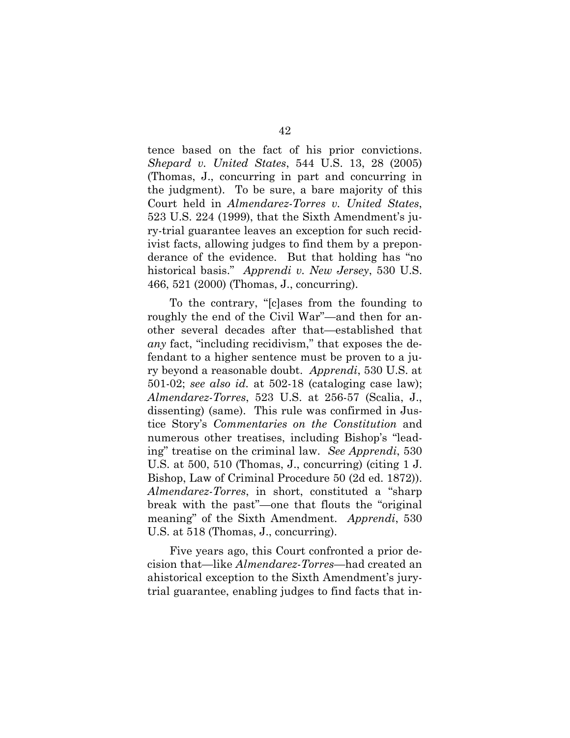tence based on the fact of his prior convictions. *Shepard v. United States*, 544 U.S. 13, 28 (2005) (Thomas, J., concurring in part and concurring in the judgment). To be sure, a bare majority of this Court held in *Almendarez-Torres v. United States*, 523 U.S. 224 (1999), that the Sixth Amendment's jury-trial guarantee leaves an exception for such recidivist facts, allowing judges to find them by a preponderance of the evidence. But that holding has "no historical basis." *Apprendi v. New Jersey*, 530 U.S. 466, 521 (2000) (Thomas, J., concurring).

To the contrary, "[c]ases from the founding to roughly the end of the Civil War"—and then for another several decades after that—established that *any* fact, "including recidivism," that exposes the defendant to a higher sentence must be proven to a jury beyond a reasonable doubt. *Apprendi*, 530 U.S. at 501-02; *see also id.* at 502-18 (cataloging case law); *Almendarez-Torres*, 523 U.S. at 256-57 (Scalia, J., dissenting) (same). This rule was confirmed in Justice Story's *Commentaries on the Constitution* and numerous other treatises, including Bishop's "leading" treatise on the criminal law. *See Apprendi*, 530 U.S. at 500, 510 (Thomas, J., concurring) (citing 1 J. Bishop, Law of Criminal Procedure 50 (2d ed. 1872)). *Almendarez-Torres*, in short, constituted a "sharp break with the past"—one that flouts the "original meaning" of the Sixth Amendment. *Apprendi*, 530 U.S. at 518 (Thomas, J., concurring).

Five years ago, this Court confronted a prior decision that—like *Almendarez-Torres*—had created an ahistorical exception to the Sixth Amendment's jurytrial guarantee, enabling judges to find facts that in